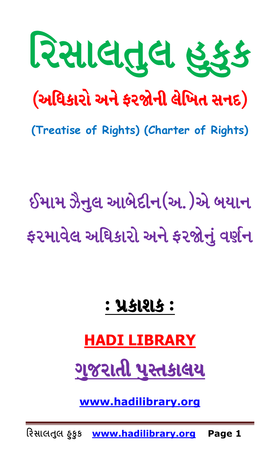

(Treatise of Rights) (Charter of Rights)

ઈમામ ઝૈનુલ આબેદીન(અ.)એ બયાન ફરમાવેલ અધિકારો અને ફરજોનું વર્ણન

# **: પ્રકાશક:**

## **HADI LIBRARY**

ગુજરાતી પુસ્તકાલય

www.hadilibrary.org

રિસાલતુલ હકુક www.hadilibrary.org Page 1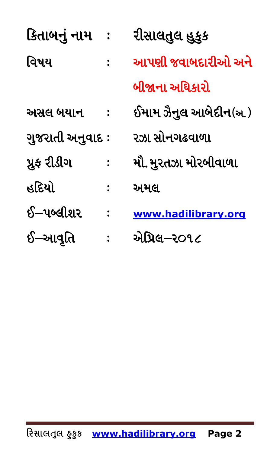| કિતાબનું નામ     | રીસાલતુલ હુકુક        |
|------------------|-----------------------|
| વિષય             | આપણી જવાબદારીઓ અને    |
|                  | બીજાના અધિકારો        |
| અસલ બયાન         | ઈમામ ઝૈનુલ આબેદીન(અ.) |
| ગુજરાતી અનુવાદ : | રઝા સોનગઢવાળા         |
| પ્રૂફ રીડીગ      | મૌ. મુરતઝા મોરબીવાળા  |
| હદિયો            | અમલ                   |
| ઈ–પબ્લીશર        | www.hadilibrary.org   |
| ઈ–આવૃતિ          | એપ્રિલ–ર૦૧૮           |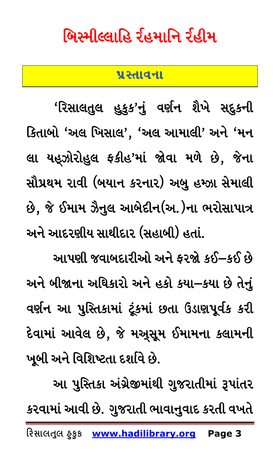# <span id="page-2-0"></span>ભિસ્મીલ્લાહિ ર્રહમાનિ ર્રહીમ

#### **5|:TFJGF**

'રિસાલતુલ હુકુક'નું વર્ણન શૈખે સદ્દકની કિતાબો 'અલ ખિસાલ', 'અલ આમાલી' અને 'મન લા યહૂઝોરોહુલ ફકીહ'માં જોવા મળે છે, જેના સૌપ્રથમ રાવી (બયાન કરનાર) અબુ હમ્ઝા સેમાલી છે, જે ઈમામ ઝૈનુલ આબેદીન(અ.)ના ભરોસાપાત્ર અને આદરણીય સાથીદાર (સહાબી) હતાં.

આપણી જવાબદારીઓ અને કરજો કઈ—કઈ છે અને બીજાના અધિકારો અને હકો કયા-કયા છે તેનું વર્ણન આ પુસ્તિકામાં ટૂંકમાં છતા ઉડાણપૂર્વક કરી દેવામાં આવેલ છે, જે મઅ્સૂમ ઈમામના કલામની ખૂબી અને વિશિષ્ટતા દર્શાવે છે.

આ પુસ્તિકા અંગ્રેજીમાંથી ગુજરાતીમાં રૂપાંતર કરવામાં આવી છે. ગુજરાતી ભાવાનુવાદ કરતી વખતે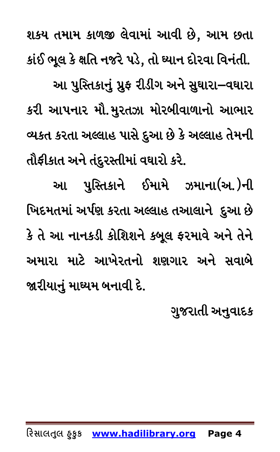શકય તમામ કાળજી લેવામાં આવી છે, આમ છતા કાંઈ ભૂલ કે ક્ષતિ નજરે પડે, તો ઘ્યાન દોરવા વિનંતી. આ પુસ્તિકાનું પ્રુફ રીડીંગ અને સુઘારા–વઘારા કરી આપનાર મૌ.મુરતઝા મોરબીવાળાનો આભાર વ્યકત કરતા અલ્લાહ પાસે દુઆ છે કે અલ્લાહ તેમની તૌફીકાત અને તંદુરસ્તીમાં વઘારો કરે.

આ પુસ્તિકાને ઈમામે ઝમાના(અ.)ની ખિદમતમાં અર્પણ કરતા અલ્લાહ તઆલાને દુઆ છે કે તે આ નાનકડી કોશિશને કબૂલ ફરમાવે અને તેને અમારા માટે આખેરતનો શણગાર અને સવાબે જારીયાનું માઘ્યમ બનાવી દે.

ગુજરાતી અનુવાદક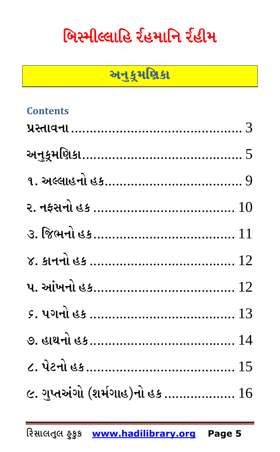# <span id="page-4-0"></span>બિસ્મીલ્લાહિ ર્રહમાનિ ર્રહીમ

## અનુક્ર્મણિકા

| <b>Contents</b>                  |  |
|----------------------------------|--|
|                                  |  |
| અનુકૂમણિકા………………………………………… 5     |  |
|                                  |  |
|                                  |  |
|                                  |  |
|                                  |  |
| પ. આંખનો હક………………………………… $12$    |  |
|                                  |  |
|                                  |  |
|                                  |  |
| ૯. ગુપ્તઅંગો (શર્મગાહ)નો હક $16$ |  |
|                                  |  |

રિસાલતુલ ઠુકુક www.hadilibrary.org Page 5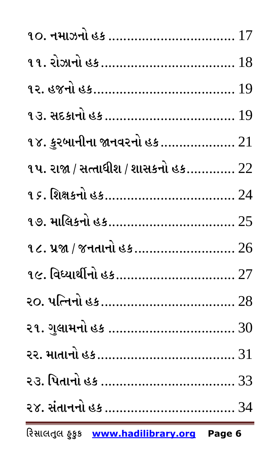| ૧૪. કુરબાનીના જાનવરનો હક ……………… $21$        |
|---------------------------------------------|
| ૧પ. રાજા / સત્તાધીશ / શાસકનો હક…………. $22\,$ |
| <u>૧૬. શિક્ષકનો હક……………………………… 24</u>       |
| <u>૧૭. માલિકનો હક……………………………… 25</u>        |
| ૧૮. પ્રજા / જનતાનો હક 26                    |
| ૧૯. વિધ્યાર્થીનો હક 27                      |
|                                             |
| ૨૧. ગુલામનો હક  30                          |
| ૨૨. માતાનો હક……………………………… 31                |
|                                             |
|                                             |
| Page 6                                      |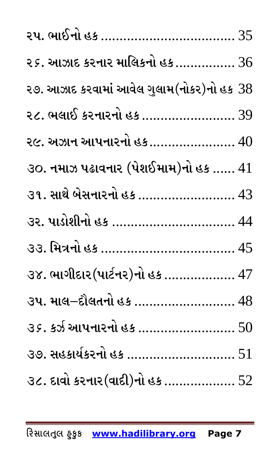| ૨૬. આઝાદ કરનાર માલિકનો હક $36$              |
|---------------------------------------------|
| ૨૭. આઝાદ કરવામાં આવેલ ગુલામ(નોકર)નો હક $38$ |
| ૨૮. ભલાઈ કરનારનો હક  39                     |
| ૨૯. અઝાન આપનારનો હક………………… 40               |
| ૩૦. નમાઝ પઢાવનાર (પેશઈમામ)નો હક …… $41$     |
| ૩૧. સાથે બેસનારનો હક  43                    |
| ૩૨. પાડોશીનો હક  44                         |
|                                             |
| ૩૪. ભાગીદાર (પાર્ટનર)નો હક  47              |
| ૩૫. માલ–દૌલતનો હક  48                       |
| 35. કર્ઝ આપનારનો હક  50                     |
| ૩૭. સહકાર્યકરનો હક  51                      |
| ૩૮. દાવો કરનાર (વાદી)નો હક  52              |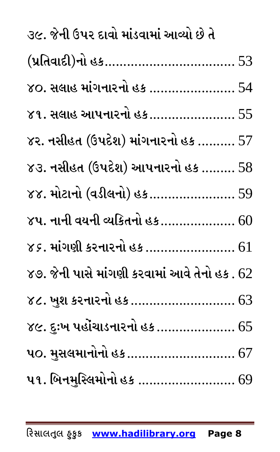| ૩૯. જેની ઉપર દાવો માંડવામાં આવ્યો છે તે           |
|---------------------------------------------------|
| (પ્રતિવાદી)નો હક……………………………… 53                   |
| $\gamma$ ૦. સલાહ માંગનારનો હક  54                 |
| ૪૧. સલાહ આપનારનો હક…………………… 55                    |
| ૪૨. નસીહત (ઉપદેશ) માંગનારનો હક ………. $57$          |
| $83.$ નસીહત (ઉપદેશ) આપનારનો હક ……… $58$           |
| ૪૪. મોટાનો (વડીલનો) હક…………………… 59                 |
| ૪૫. નાની વયની વ્યકિતનો હક 60                      |
| ૪૬. માંગણી કરનારનો હક  61                         |
| ૪૭. જેની પાસે માંગણી કરવામાં આવે તેનો હક . $62\,$ |
| ૪૮. ખુશ કરનારનો હક  63                            |
| ૪૯. દુઃખ પહોંચાડનારનો હક  65                      |
| પ૦. મુસલમાનોનો હક  67                             |
| પ૧. બિનમુસ્લિમોનો હક  69                          |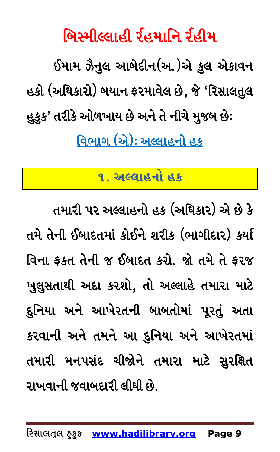બિસ્મીલ્લાહી ર્રહમાનિ ર્રહીમ

ઈમામ ઝૈનુલ આબેદીન(અ.)એ કુલ એકાવન હકો (અધિકારો) બયાન ફરમાવેલ છે, જે 'રિસાલતુલ હુકુક' તરીકે ઓળખાય છે અને તે નીચે મુજબ છે: <u>વિભાગ (એ): અલ્લાહનો હક</u>

### ૧. અલ્લાહનો હક

<span id="page-8-0"></span>તમારી પર અલ્લાહનો હક (અધિકાર) એ છે કે તમે તેની ઈબાદતમાં કોઈને શરીક (ભાગીદાર) કર્યા વિના ફકત તેની જ ઈબાદત કરો. જો તમે તે ફરજ ખુલુસતાથી અદા કરશો, તો અલ્લાહે તમારા માટે દુનિયા અને આખેરતની બાબતોમાં પૂરતું અતા કરવાની અને તમને આ દુનિયા અને આખેરતમાં તમારી મનપસંદ ચીજોને તમારા માટે સુરક્ષિત રાખવાની જવાબદારી લીધી છે.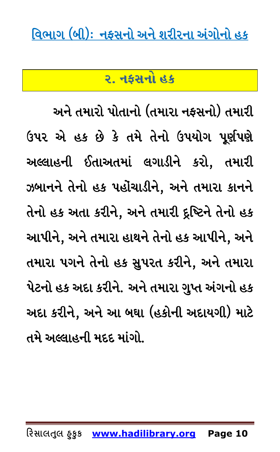<span id="page-9-0"></span><u>વિભાગ (બી): નફસનો અને શરીરના અંગોનો હક</u>

#### <u>ર. નકસનો હક</u>

અને તમારો પોતાનો (તમારા નફસનો) તમારી ઉપર એ હક છે કે તમે તેનો ઉપયોગ પૂર્ણપણે અલ્લાહની ઈતાઅતમાં લગાડીને કરો, તમારી ઝબાનને તેનો હક પહોંચાડીને, અને તમારા કાનને તેનો હક અતા કરીને, અને તમારી દૃષ્ટિને તેનો હક આપીને, અને તમારા હાથને તેનો હક આપીને, અને તમારા પગને તેનો હક સુપરત કરીને, અને તમારા પેટનો હક અદા કરીને. અને તમારા ગુપ્ત અંગનો હક અદા કરીને, અને આ બઘા (હકોની અદાયગી) માટે તમે અલ્લાહની મદદ માંગો.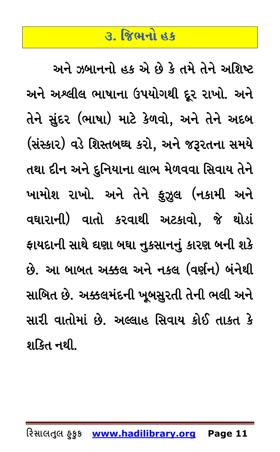#### <u>૩. જિભનો હક</u>

<span id="page-10-0"></span>અને ઝબાનનો હક એ છે કે તમે તેને અશિષ્ટ અને અશ્લીલ ભાષાના ઉપયોગથી દૂર રાખો. અને તેને સુંદર (ભાષા) માટે કેળવો, અને તેને અદબ (સંસ્કાર) વડે શિસ્તબઘ્ઘ કરો, અને જરૂરતના સમયે તથા દીન અને દુનિયાના લાભ મેળવવા સિવાય તેને ખામોશ રાખો. અને તેને ફુઝુલ (નકામી અને વઘારાની) વાતો કરવાથી અટકાવો, જે થોડાં ફાયદાની સાથે દ્યણા બઘા નુકસાનનું કારણ બની શકે છે. આ બાબત અક્કલ અને નકલ (વર્ણન) બંનેથી સાબિત છે. અક્કલમંદની ખૂબસુરતી તેની ભલી અને સારી વાતોમાં છે. અલ્લાહ સિવાય કોઈ તાકત કે શકિત નથી.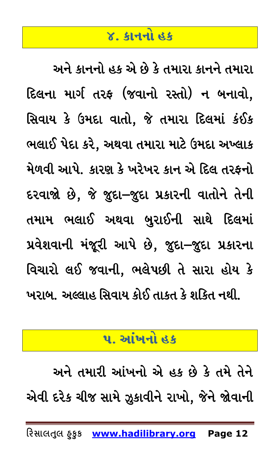#### **४. કાનનો હક**

<span id="page-11-0"></span>અને કાનનો હક એ છે કે તમારા કાનને તમારા દિલના માર્ગ તરફ (જવાનો રસ્તો) ન બનાવો. સિવાય કે ઉમદા વાતો, જે તમારા દિલમાં કંઈક ભલાઈ પેદા કરે, અથવા તમારા માટે ઉમદા અખ્લાક મેળવી આપે. કારણ કે ખરેખર કાન એ દિલ તરફનો દરવાજો છે, જે જુદા–જુદા પ્રકારની વાતોને તેની તમામ ભલાઈ અથવા બુરાઈની સાથે દિલમાં પ્રવેશવાની મંજૂરી આપે છે, જુદા-જુદા પ્રકારના વિચારો લઈ જવાની, ભલેપછી તે સારા હોય કે ખરાબ. અલ્લાહ સિવાય કોઈ તાકત કે શકિત નથી.

#### <u>પ. આંખનો હક</u>

<span id="page-11-1"></span>અને તમારી આંખનો એ હક છે કે તમે તેને એવી દરેક ચીજ સામે ઝૂકાવીને રાખો, જેને જોવાની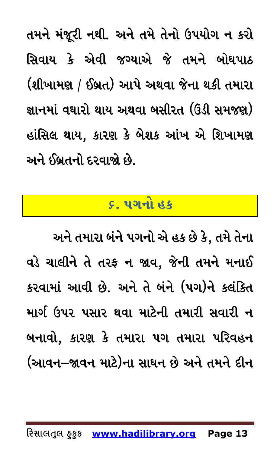તમને મંજૂરી નથી. અને તમે તેનો ઉપયોગ ન કરો સિવાય કે એવી જગ્યાએ જે તમને બોઘપાઠ (શીખામણ / ઈબ્રત) આપે અથવા જેના થકી તમારા જ્ઞાનમાં વઘારો થાય અથવા બસીરત (ઉંડી સમજણ) હાંસિલ થાય, કારણ કે બેશક આંખ એ શિખામણ અને ઈબ્રતનો દરવાજો છે.

#### **&P 5UGM CS**

<span id="page-12-0"></span>અને તમારા બંને પગનો એ હક છે કે, તમે તેના વડે ચાલીને તે તરફ ન જાવ, જેની તમને મનાઈ કરવામાં આવી છે. અને તે બંને (પગ)ને કલંકિત માર્ગ ઉપર પસાર થવા માટેની તમારી સવારી ન બનાવો, કારણ કે તમારા પગ તમારા પરિવહન (આવન–જાવન માટે)ના સાઘન છે અને તમને દીન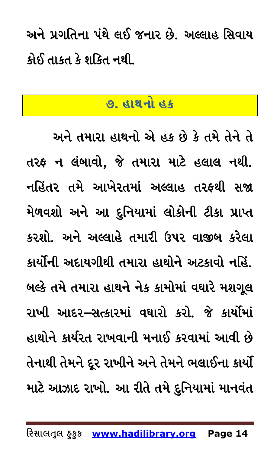<span id="page-13-0"></span>અને પ્રગતિના પંથે લઈ જનાર છે. અલ્લાહ સિવાય કોઈ તાકત કે શકિત નથી.

## <u>૭. હાથનો હક</u>

અને તમારા હાથનો એ હક છે કે તમે તેને તે તરફ ન લંબાવો, જે તમારા માટે હલાલ નથી. નહિંતર તમે આખેરતમાં અલ્લાહ તરફથી સજા મેળવશો અને આ દુનિયામાં લોકોની ટીકા પ્રાપ્ત કરશો. અને અલ્લાહે તમારી ઉપર વાજીબ કરેલા કાર્યોની અદાયગીથી તમારા હાથોને અટકાવો નહિં. બલ્કે તમે તમારા હાથને નેક કામોમાં વઘારે મશગૂલ રાખી આદર–સત્કારમાં વઘારો કરો. જે કાર્યોમાં હાથોને કાર્યરત રાખવાની મનાઈ કરવામાં આવી છે તેનાથી તેમને દૂર રાખીને અને તેમને ભલાઈના કાર્યો માટે આઝાદ રાખો. આ રીતે તમે દુનિયામાં માનવંત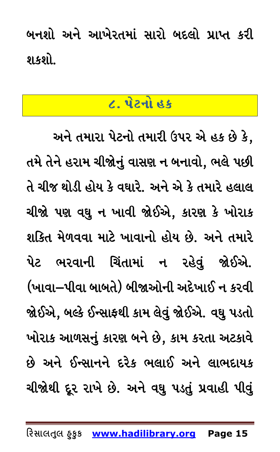<span id="page-14-0"></span>બનશો અને આખેરતમાં સારો બદલો પ્રાપ્ત કરી શકશો

## $\boldsymbol{\mathsf{c}}$ . પેટનો હક

અને તમારા પેટનો તમારી ઉપર એ હક છે કે, તમે તેને હરામ ચીજોનું વાસણ ન બનાવો, ભલે પછી તે ચીજ થોડી હોય કે વઘારે. અને એ કે તમારે હલાલ ચીજો પણ વઘુ ન ખાવી જોઈએ, કારણ કે ખોરાક શકિત મેળવવા માટે ખાવાનો હોય છે. અને તમારે પેટ ભરવાની ચિંતામાં ન રહેવું જોઈએ. (ખાવા–પીવા બાબતે) બીજાઓની અદેખાઈ ન કરવી જોઈએ, બલ્કે ઈન્સાફથી કામ લેવું જોઈએ. વઘુ પડતો ખોરાક આળસનું કારણ બને છે, કામ કરતા અટકાવે છે અને ઈન્સાનને દરેક ભલાઈ અને લાભદાયક ચીજોથી દૂર રાખે છે. અને વઘુ પડતું પ્રવાહી પીવું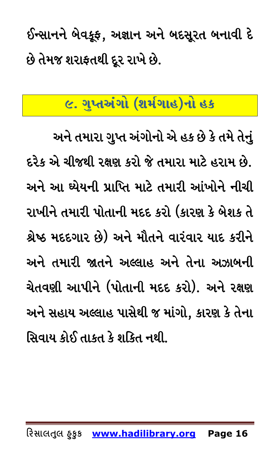ઈન્સાનને બેવકૂફ, અજ્ઞાન અને બદસૂરત બનાવી દે છે તેમજ શરાફતથી દૂર રાખે છે.

## <span id="page-15-0"></span><u>ેલ્દ. ગુપ્તઅંગો (શર્મગાહ)નો હક</u>

અને તમારા ગુપ્ત અંગોનો એ હક છે કે તમે તેનું દરેક એ ચીજથી રક્ષણ કરો જે તમારા માટે હરામ છે. અને આ ધ્યેયની પ્રાપ્તિ માટે તમારી આંખોને નીચી રાખીને તમારી પોતાની મદદ કરો (કારણ કે બેશક તે શ્રેષ્ઠ મદદગાર છે) અને મૌતને વારંવાર યાદ કરીને અને તમારી જાતને અલ્લાહ અને તેના અઝાબની ચેતવણી આપીને (પોતાની મદદ કરો). અને રક્ષણ અને સહાય અલ્લાહ પાસેથી જ માંગો, કારણ કે તેના સિવાય કોઈ તાકત કે શકિત નથી.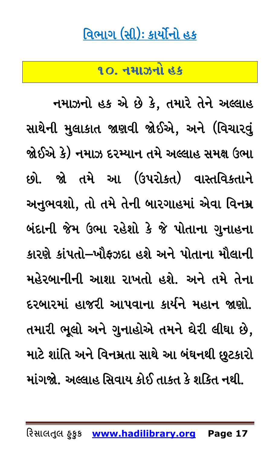## વિભાગ (સી): કાર્યોનો હક

<u>૧૦. નમાઝનો હક</u>

<span id="page-16-0"></span>નમાઝનો હક એ છે કે, તમારે તેને અલ્લાહ સાથેની મુલાકાત જાણવી જોઈએ, અને (વિચારવું જોઈએ કે) નમાઝ દરમ્યાન તમે અલ્લાહ સમક્ષ ઉભા છો. જો તમે આ (ઉપરોકત) વાસ્તવિકતાને અનુભવશો, તો તમે તેની બારગાહમાં એવા વિનમ્ર બંદાની જેમ ઉભા રહેશો કે જે પોતાના ગુનાહના કારણે કાંપતો–ખૌફઝદા હશે અને પોતાના મૌલાની મહેરબાનીની આશા રાખતો હશે. અને તમે તેના દરબારમાં હાજરી આપવાના કાર્યને મહાન જાણો. તમારી ભૂલો અને ગુનાહોએ તમને ઘેરી લીઘા છે, માટે શાંતિ અને વિનમ્રતા સાથે આ બંઘનથી છુટકારો માંગજો. અલ્લાહ સિવાય કોઈ તાકત કે શકિત નથી.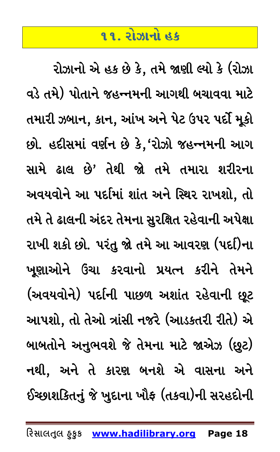#### <u>૧૧. રોઝાનો હક</u>

<span id="page-17-0"></span>રોઝાનો એ હક છે કે, તમે જાણી લ્યો કે (રોઝા વડે તમે) પોતાને જહન્નમની આગથી બચાવવા માટે તમારી ઝબાન, કાન, આંખ અને પેટ ઉપર પર્દો મૂકો છો. હદીસમાં વર્ણન છે કે, 'રોઝો જહન્નમની આગ સામે ઢાલ છે' તેથી જો તમે તમારા શરીરના અવયવોને આ પર્દામાં શાંત અને સ્થિર રાખશો, તો તમે તે ઢાલની અંદર તેમના સુરક્ષિત રહેવાની અપેક્ષા રાખી શકો છો. પરંતુ જો તમે આ આવરણ (પદ)િના ખુણાઓને ઉંચા કરવાનો પ્રયત્ન કરીને તેમને (અવયવોને) પર્દાની પાછળ અશાંત રહેવાની છૂટ આપશો, તો તેઓ ત્રાંસી નજરે (આડકતરી રીતે) એ બાબતોને અનુભવશે જે તેમના માટે જાએઝ (છૂટ) નથી, અને તે કારણ બનશે એ વાસના અને ઈચ્છાશકિતનું જે ખુદાના ખૌફ (તકવા)ની સરહદોની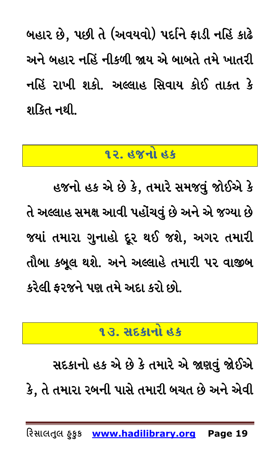બહાર છે, પછી તે (અવયવો) પર્દાને ફાડી નહિં કાઢે અને બહાર નહિં નીકળી જાય એ બાબતે તમે ખાતરી નહિં રાખી શકો. અલ્લાહ સિવાય કોઈ તાકત કે શકિત નથી.

#### <u>૧૨. હજનો હક</u>

<span id="page-18-0"></span>હજનો હક એ છે કે, તમારે સમજવું જોઈએ કે તે અલ્લાહ સમક્ષ આવી પહોંચવું છે અને એ જગ્યા છે જયાં તમારા ગુનાહો દૂર થઈ જશે, અગર તમારી તૌબા કબૂલ થશે. અને અલ્લાહે તમારી પર વાજીબ કરેલી કરજને પણ તમે અદા કરો છો.

#### <u>૧૩. સદકાનો હક</u>

<span id="page-18-1"></span>સદકાનો હક એ છે કે તમારે એ જાણવું જોઈએ કે, તે તમારા રબની પાસે તમારી બચત છે અને એવી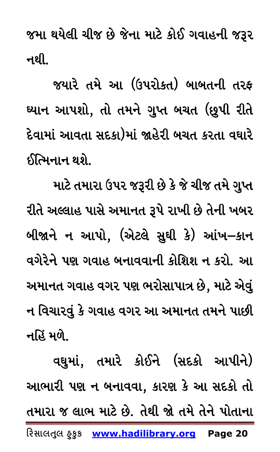જમા થયેલી ચીજ છે જેના માટે કોઈ ગવાહની જરૂર નથી.

જયારે તમે આ (ઉપરોકત) બાબતની તરફ ઘ્યાન આપશો, તો તમને ગુપ્ત બચત (છુપી રીતે દેવામાં આવતા સદકા)માં જાહેરી બચત કરતા વઘારે ઈત્મિનાન થશે.

માટે તમારા ઉપર જરૂરી છે કે જે ચીજ તમે ગુપ્ત રીતે અલ્લાહ પાસે અમાનત રૂપે રાખી છે તેની ખબર બીજાને ન આપો, (એટલે સુઘી કે) આંખ–કાન વગેરેને પણ ગવાહ બનાવવાની કોશિશ ન કરો. આ અમાનત ગવાહ વગર પણ ભરોસાપાત્ર છે, માટે એવું ન વિચારવું કે ગવાહ વગર આ અમાનત તમને પાછી નહિં મળે.

વઘુમાં, તમારે કોઈને (સદકો આપીને) આભારી પણ ન બનાવવા, કારણ કે આ સદકો તો તમારા જ લાભ માટે છે. તેથી જો તમે તેને પોતાના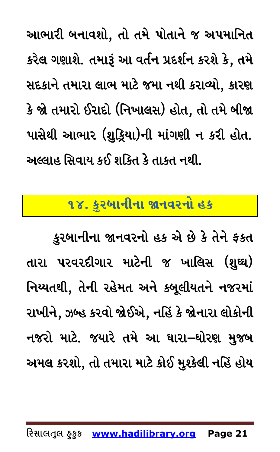આભારી બનાવશો, તો તમે પોતાને જ અપમાનિત કરેલ ગણાશે. તમારૂં આ વર્તન પ્રદર્શન કરશે કે, તમે સદકાને તમારા લાભ માટે જમા નથી કરાવ્યો, કારણ કે જો તમારો ઈરાદો (નિખાલસ) હોત, તો તમે બીજા પાસેથી આભાર (શુક્રિયા)ની માંગણી ન કરી હોત. અલ્લાહ સિવાય કઈ શકિત કે તાકત નથી.

## <span id="page-20-0"></span>૧૪. કુરબાનીના જાનવરનો હક

કુરબાનીના જાનવરનો હક એ છે કે તેને ફકત તારા પરવરદીગાર માટેની જ ખાલિસ (શુઘ્ઘ) નિય્યતથી, તેની રહેમત અને કબૂલીયતને નજરમાં રાખીને, ઝબ્હ કરવો જોઈએ, નહિં કે જોનારા લોકોની નજરો માટે. જયારે તમે આ ઘારા–ઘોરણ મુજબ અમલ કરશો, તો તમારા માટે કોઈ મુશ્કેલી નહિં હોય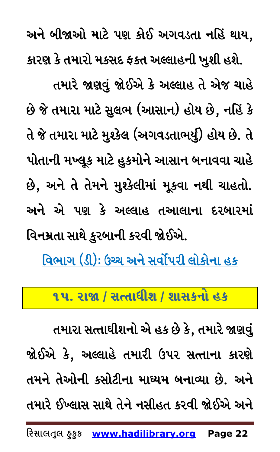અને બીજાઓ માટે પણ કોઈ અગવડતા નહિં થાય, કારણ કે તમારો મકસદ ફકત અલ્લાહની ખુશી હશે. તમારે જાણવું જોઈએ કે અલ્લાહ તે એજ ચાહે છે જે તમારા માટે સુલભ (આસાન) હોય છે, નહિં કે તે જે તમારા માટે મુશ્કેલ (અગવડતાભર્યુ) હોય છે. તે પોતાની મખ્લૂક માટે હુકમોને આસાન બનાવવા ચાહે છે, અને તે તેમને મુશ્કેલીમાં મૂકવા નથી ચાહતો. અને એ પણ કે અલ્લાહ તઆલાના દરબારમાં વિનમ્રતા સાથે કુરબાની કરવી જોઈએ.

<span id="page-21-0"></span><u>વિભાગ (ડી): ઉચ્ચ અને સર્વોપરી લોકોના હક</u>

૧૫. રાજા / સત્તાધીશ / શાસકનો હક

તમારા સત્તાઘીશનો એ હક છે કે, તમારે જાણવું જોઈએ કે, અલ્લાહે તમારી ઉપર સત્તાના કારણે તમને તેઓની કસોટીના માઘ્યમ બનાવ્યા છે. અને તમારે ઈખ્લાસ સાથે તેને નસીહત કરવી જોઈએ અને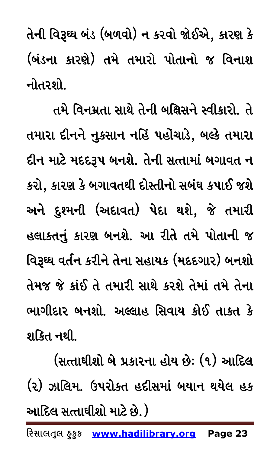તેની વિરૂઘ્ઘ બંડ (બળવો) ન કરવો જોઈએ, કારણ કે (બંડના કારણે) તમે તમારો પોતાનો જ વિનાશ નોતરશો.

તમે વિનમ્રતા સાથે તેની બક્ષિસને સ્વીકારો. તે તમારા દીનને નુકસાન નહિં પહોંચાડે, બલ્કે તમારા દીન માટે મદદરૂપ બનશે. તેની સત્તામાં બગાવત ન કરો, કારણ કે બગાવતથી દોસ્તીનો સબંઘ કપાઈ જશે અને દુશ્મની (અદાવત) પેદા થશે, જે તમારી હલાકતનું કારણ બનશે. આ રીતે તમે પોતાની જ વિરૂઘ્ઘ વર્તન કરીને તેના સહાયક (મદદગાર) બનશો તેમજ જે કાંઈ તે તમારી સાથે કરશે તેમાં તમે તેના ભાગીદાર બનશો. અલ્લાહ સિવાય કોઈ તાકત કે શકિત નથી.

(સત્તાઘીશો બે પ્રકારના હોય છેઃ (૧) આદિલ (૨) ઝાલિમ. ઉપરોક્ત હદીસમાં બયાન થયેલ હક આદિલ સત્તાઘીશો માટે છે. )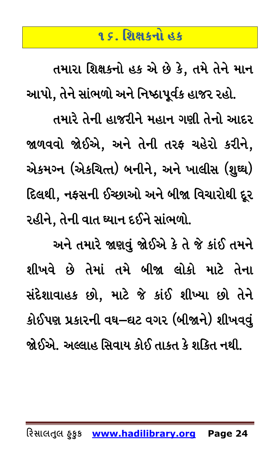#### <u>૧૬ શિક્ષકનો હક</u>

<span id="page-23-0"></span>તમારા શિક્ષકનો હક એ છે કે, તમે તેને માન આપો, તેને સાંભળો અને નિષ્ઠાપૂર્વક હાજર રહો. તમારે તેની હાજરીને મહાન ગણી તેનો આદર જાળવવો જોઈએ, અને તેની તરફ ચહેરો કરીને, એકમગ્ન (એકચિત્ત) બનીને, અને ખાલીસ (શુઘ્ઘ) દિલથી, નફસની ઈચ્છાઓ અને બીજા વિચારોથી દૂર રહીને, તેની વાત ઘ્યાન દઈને સાંભળો.

અને તમારે જાણવું જોઈએ કે તે જે કાંઈ તમને શીખવે છે તેમાં તમે બીજા લોકો માટે તેના સંદેશાવાહક છો, માટે જે કાંઈ શીખ્યા છો તેને કોઈપણ પ્રકારની વઘ–ઘટ વગર (બીજાને) શીખવવું

જોઈએ. અલ્લાહ સિવાય કોઈ તાકત કે શકિત નથી.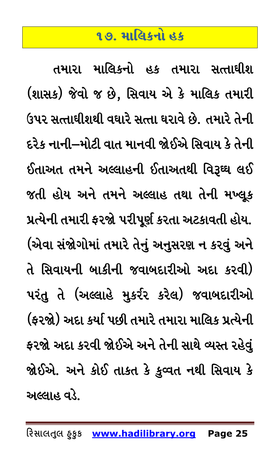#### <u>૧૭. માલિકનો હક</u>

<span id="page-24-0"></span>તમારા માલિકનો હક તમારા સત્તાઘીશ (શાસક) જેવો જ છે, સિવાય એ કે માલિક તમારી ઉપર સત્તાઘીશથી વઘારે સત્તા ઘરાવે છે. તમારે તેની દરેક નાની–મોટી વાત માનવી જોઈએ સિવાય કે તેની ઈતાઅત તમને અલ્લાહની ઈતાઅતથી વિરૂઘ્ઘ લઈ જતી હોય અને તમને અલ્લાહ તથા તેની મખ્લૂક પ્રત્યેની તમારી ફરજો પરીપૂર્ણ કરતા અટકાવતી હોય. (એવા સંજોગોમાં તમારે તેનું અનુસરણ ન કરવું અને તે સિવાયની બાકીની જવાબદારીઓ અદા કરવી) પરંતુ તે (અલ્લાહે મુકર્રર કરેલ) જવાબદારીઓ (ફરજો) અદા કર્યા પછી તમારે તમારા માલિક પ્રત્યેની ફરજો અદા કરવી જોઈએ અને તેની સાથે વ્યસ્ત રહેવું જોઈએ. અને કોઈ તાકત કે કુવ્વત નથી સિવાય કે અલ્લાહ વડે.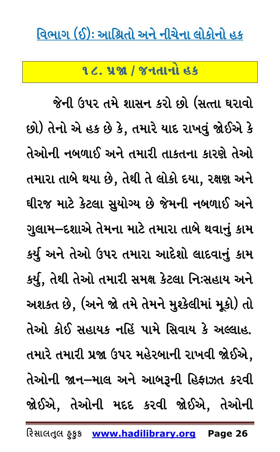#### <span id="page-25-0"></span><u>વિભાગ (ઈ): આશ્રિતો અને નીચેના લોકોનો હક</u>

૧૮. ૫જા / જનતાનો હક

જેની ઉપર તમે શાસન કરો છો (સત્તા ઘરાવો છો) તેનો એ હક છે કે, તમારે યાદ રાખવું જોઈએ કે તેઓની નબળાઈ અને તમારી તાકતના કારણે તેઓ તમારા તાબે થયા છે, તેથી તે લોકો દયા, રક્ષણ અને ઘીરજ માટે કેટલા સુયોગ્ય છે જેમની નબળાઈ અને ગુલામ–દશાએ તેમના માટે તમારા તાબે થવાનું કામ કર્યુ અને તેઓ ઉપર તમારા આદેશો લાદવાનું કામ કર્યુ, તેથી તેઓ તમારી સમક્ષ કેટલા નિઃસહાય અને અશકત છે, (અને જો તમે તેમને મુશ્કેલીમાં મૂકો) તો તેઓ કોઈ સહાયક નહિં પામે સિવાય કે અલ્લાહ.

તમારે તમારી પ્રજા ઉપર મહેરબાની રાખવી જોઈએ, તેઓની જાન–માલ અને આબરૂની હિફાઝત કરવી જોઈએ, તેઓની મદદ કરવી જોઈએ, તેઓની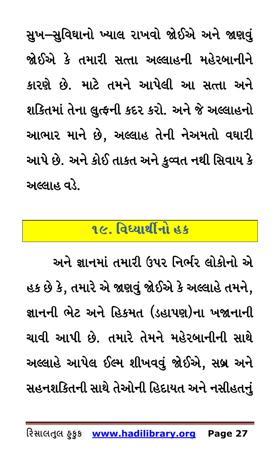સુખ–સુવિઘાનો ખ્યાલ રાખવો જોઈએ અને જાણવું જોઈએ કે તમારી સત્તા અલ્લાહની મહેરબાનીને કારણે છે. માટે તમને આપેલી આ સત્તા અને શકિતમાં તેના લુત્કની કદર કરો. અને જે અલ્લાહનો આભાર માને છે, અલ્લાહ તેની નેઅમતો વઘારી આપે છે. અને કોઈ તાકત અને કુવ્વત નથી સિવાય કે અલ્લાહ વડે.

### <u>૧૯. વિધ્યાર્થીનો હક</u>

<span id="page-26-0"></span>અને જ્ઞાનમાં તમારી ઉપર નિર્ભર લોકોનો એ હક છે કે, તમારે એ જાણવું જોઈએ કે અલ્લાહે તમને, જ્ઞાનની ભેટ અને હિકમત (ડહાપણ)ના ખજાનાની ચાવી આપી છે. તમારે તેમને મહેરબાનીની સાથે અલ્લાહે આપેલ ઈલ્મ શીખવવું જોઈએ, સબ્ર અને સહનશકિતની સાથે તેઓની હિદાયત અને નસીહતનું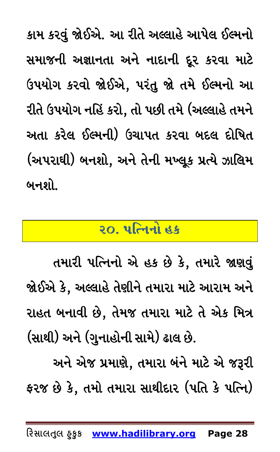કામ કરવું જોઈએ. આ રીતે અલ્લાહે આપેલ ઈલ્મનો સમાજની અજ્ઞાનતા અને નાદાની દૂર કરવા માટે ઉપયોગ કરવો જોઈએ, પરંતુ જો તમે ઈલ્મનો આ રીતે ઉપયોગ નહિં કરો, તો પછી તમે (અલ્લાહે તમને અતા કરેલ ઈલ્મની) ઉચાપત કરવા બદલ દોષિત (અપરાઘી) બનશો, અને તેની મખ્લૂક પ્રત્યે ઝાલિમ બનશો.

## <u>૨૦. પત્નિનો હક</u>

<span id="page-27-0"></span>તમારી પત્નિનો એ હક છે કે, તમારે જાણવું જોઈએ કે, અલ્લાહે તેણીને તમારા માટે આરામ અને રાહત બનાવી છે, તેમજ તમારા માટે તે એક મિત્ર (સાથી) અને (ગુનાહોની સામે) ઢાલ છે.

અને એજ પ્રમાણે, તમારા બંને માટે એ જરૂરી ફરજ છે કે, તમો તમારા સાથીદાર (પતિ કે પત્નિ)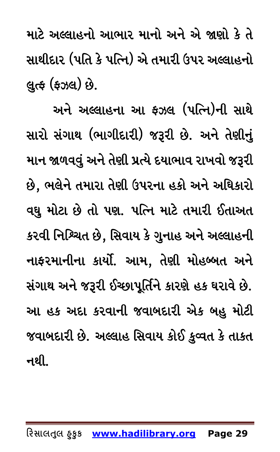માટે અલ્લાહનો આભાર માનો અને એ જાણો કે તે સાથીદાર (પતિ કે પત્નિ) એ તમારી ઉપર અલ્લાહનો લુત્ફ (ફઝલ) છે.

અને અલ્લાહના આ ફઝલ (પત્નિ)ની સાથે સારો સંગાથ (ભાગીદારી) જરૂરી છે. અને તેણીનું માન જાળવવું અને તેણી પ્રત્યે દયાભાવ રાખવો જરૂરી છે, ભલેને તમારા તેણી ઉપરના હકો અને અધિકારો વધુ મોટા છે તો પણ. પત્નિ માટે તમારી ઈતાઅત કરવી નિશ્ચિત છે, સિવાય કે ગુનાહ અને અલ્લાહની નાફરમાનીના કાર્યો. આમ, તેણી મોહબ્બત અને સંગાથ અને જરૂરી ઈચ્છાપૂર્તિને કારણે હક ઘરાવે છે. આ હક અદા કરવાની જવાબદારી એક બહુ મોટી જવાબદારી છે. અલ્લાહ સિવાય કોઈ કુવ્વત કે તાકત નથી. $\overline{\phantom{a}}$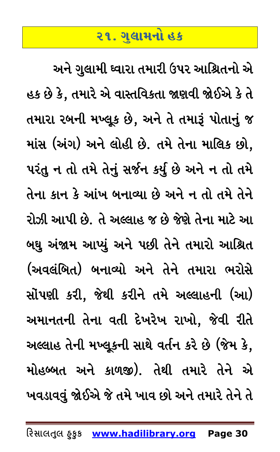## <u>૨૧. ગ</u>લામનો હક

<span id="page-29-0"></span>અને ગુલામી ઘ્વારા તમારી ઉપર આશ્રિતનો એ હક છે કે, તમારે એ વાસ્તવિકતા જાણવી જોઈએ કે તે તમારા રબની મખ્લૂક છે, અને તે તમારૂં પોતાનું જ માંસ (અંગ) અને લોહી છે. તમે તેના માલિક છો, પરંતુ ન તો તમે તેનું સર્જન કર્યુ છે અને ન તો તમે તેના કાન કે આંખ બનાવ્યા છે અને ન તો તમે તેને રોઝી આપી છે. તે અલ્લાહ જ છે જેણે તેના માટે આ બઘુ અંજામ આપ્યું અને પછી તેને તમારો આશ્રિત (અવલંબિત) બનાવ્યો અને તેને તમારા ભરોસે સોંપણી કરી, જેથી કરીને તમે અલ્લાહની (આ) અમાનતની તેના વતી દેખરેખ રાખો, જેવી રીતે અલ્લાહ તેની મખ્લૂકની સાથે વર્તન કરે છે (જેમ કે, મોહબ્બત અને કાળજી). તેથી તમારે તેને એ ખવડાવવું જોઈએ જે તમે ખાવ છો અને તમારે તેને તે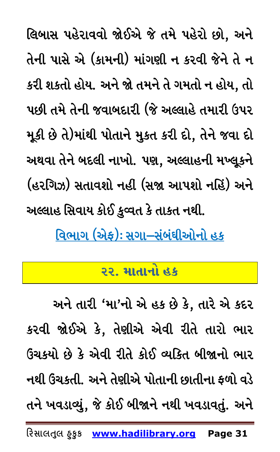લિબાસ પહેરાવવો જોઈએ જે તમે પહેરો છો, અને તેની પાસે એ (કામની) માંગણી ન કરવી જેને તે ન કરી શકતો હોય. અને જો તમને તે ગમતો ન હોય, તો પછી તમે તેની જવાબદારી (જે અલ્લાહે તમારી ઉપર મૂકી છે તે)માંથી પોતાને મુકત કરી દો, તેને જવા દો અથવા તેને બદલી નાખો. પણ, અલ્લાહની મખ્લૂકને (હરગિઝ) સતાવશો નહી (સજા આપશો નહિં) અને અલ્લાહ સિવાય કોઈ કુવ્વત કે તાકત નથી.

<span id="page-30-0"></span><u> વિભાગ (એફ): સગા–સંબંઘીઓનો હક</u>

#### ૨૨. માતાનો હક

અને તારી 'મા'નો એ હક છે કે, તારે એ કદર કરવી જોઈએ કે, તેણીએ એવી રીતે તારો ભાર ઉંચકયો છે કે એવી રીતે કોઈ વ્યકિત બીજાનો ભાર નથી ઉંચકતી. અને તેણીએ પોતાની છાતીના ફળો વડે તને ખવડાવ્યું, જે કોઈ બીજાને નથી ખવડાવતું. અને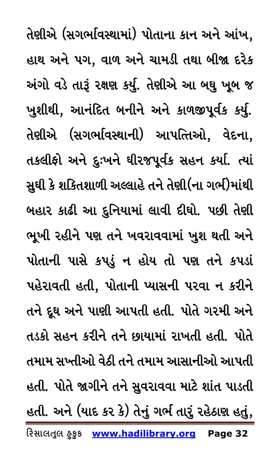**રિસાલતલુ હુકુક www.hadilibrary.org Page 32** તેણીએ (સગર્ભાવસ્થામાં) પોતાના કાન અને આંખ, હાથ અને પગ, વાળ અને ચામડી તથા બીજા દરેક અંગો વડે તારૂં રક્ષણ કર્યુ. તેણીએ આ બઘુ ખૂબ જ ખુશીથી, આનંદિત બનીને અને કાળજીપૂર્વક કર્યુ. તેણીએ (સગર્ભાવસ્થાની) આપત્તિઓ, વેદના, તકલીફો અને દુઃખને ઘીરજપૂર્વક સહન કર્યા. ત્યાં સુઘી કે શકિતશાળી અલ્લાહે તને તેણી(ના ગર્ભ)માંથી બહાર કાઢી આ દુનિયામાં લાવી દીઘો. પછી તેણી ભૂખી રહીને પણ તને ખવરાવવામાં ખુશ થતી અને પોતાની પાસે કપડું ન હોય તો પણ તને કપડાં પહેરાવતી હતી, પોતાની પ્યાસની પરવા ન કરીને તને દૂઘ અને પાણી આપતી હતી. પોતે ગરમી અને તડકો સહન કરીને તને છાયામાં રાખતી હતી. પોતે તમામ સખ્તીઓ વેઠી તને તમામ આસાનીઓ આપતી હતી. પોતે જાગીને તને સુવરાવવા માટે શાંત પાડતી હતી. અને (યાદ કર કે) તેનું ગર્ભ તારું રહેઠાણ હતું,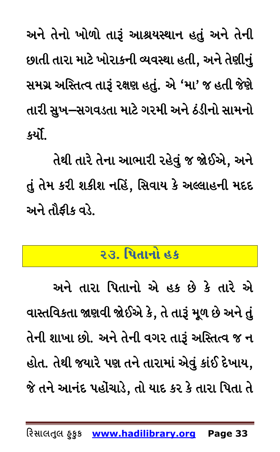અને તેનો ખોળો તારૂં આશ્રયસ્થાન હતું અને તેની છાતી તારા માટે ખોરાકની વ્યવસ્થા હતી, અને તેણીનું સમગ્ર અસ્તિત્વ તારૂં રક્ષણ હતું. એ 'મા' જ હતી જેણે તારી સુખ—સગવડતા માટે ગરમી અને ઠંડીનો સામનો કર્યો.

તેથી તારે તેના આભારી રહેવું જ જોઈએ, અને તું તેમ કરી શકીશ નહિં, સિવાય કે અલ્લાહની મદદ અને તૌકીક વડે.

## <u>૨૩. પિતાનો હક</u>

<span id="page-32-0"></span>અને તારા પિતાનો એ હક છે કે તારે એ વાસ્તવિકતા જાણવી જોઈએ કે, તે તારૂં મૂળ છે અને તું તેની શાખા છો. અને તેની વગર તારૂં અસ્તિત્વ જ ન હોત. તેથી જયારે પણ તને તારામાં એવું કાંઈ દેખાય, જે તને આનંદ પહોંચાડે, તો યાદ કર કે તારા પિતા તે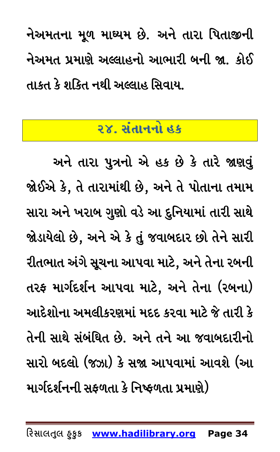નેઅમતના મૂળ માઘ્યમ છે. અને તારા પિતાજીની નેઅમત પ્રમાણે અલ્લાહનો આભારી બની જા. કોઈ તાકત કે શકિત નથી અલ્લાહ સિવાય.

### ૨૪. સંતાનનો હક

<span id="page-33-0"></span>અને તારા પુત્રનો એ હક છે કે તારે જાણવું જોઈએ કે, તે તારામાંથી છે, અને તે પોતાના તમામ સારા અને ખરાબ ગુણો વડે આ દુનિયામાં તારી સાથે જોડાયેલો છે, અને એ કે તું જવાબદાર છો તેને સારી રીતભાત અંગે સૂચના આપવા માટે, અને તેના રબની તરફ માર્ગદર્શન આપવા માટે, અને તેના (રબના) આદેશોના અમલીકરણમાં મદદ કરવા માટે જે તારી કે તેની સાથે સંબંધિત છે. અને તને આ જવાબદારીનો સારો બદલો (જઝા) કે સજા આપવામાં આવશે (આ માર્ગદર્શનની સફળતા કે નિષ્ફળતા પ્રમાણે)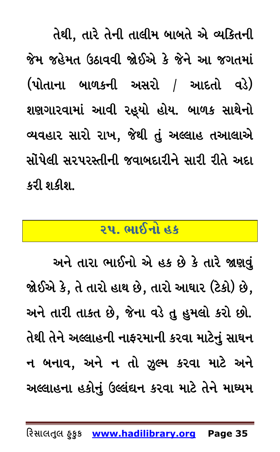તેથી, તારે તેની તાલીમ બાબતે એ વ્યકિતની જેમ જહેમત ઉઠાવવી જોઈએ કે જેને આ જગતમાં (પોતાના બાળકની અસરો / આદતો વડે) શણગારવામાં આવી રહ્યો હોય. બાળક સાથેનો વ્યવહાર સારો રાખ, જેથી તું અલ્લાહ તઆલાએ સોંપેલી સરપરસ્તીની જવાબદારીને સારી રીતે અદા કરી શકીશ.

## <u>રપ. ભાઈનો હક</u>

<span id="page-34-0"></span>અને તારા ભાઈનો એ હક છે કે તારે જાણવું જોઈએ કે, તે તારો હાથ છે, તારો આઘાર (ટેકો) છે, અને તારી તાકત છે, જેના વડે તુ હુમલો કરો છો. તેથી તેને અલ્લાહની નાફરમાની કરવા માટેનું સાઘન ન બનાવ, અને ન તો ઝૂલ્મ કરવા માટે અને અલ્લાહના હકોનું ઉલ્લંઘન કરવા માટે તેને માઘ્યમ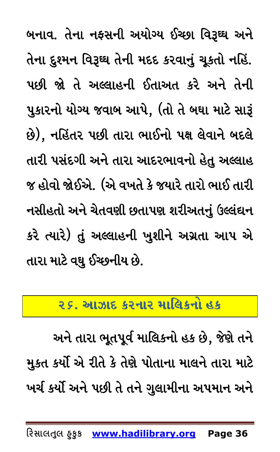બનાવ. તેના નફસની અયોગ્ય ઈચ્છા વિરૂઘ્ઘ અને તેના દુશ્મન વિરૂઘ્ઘ તેની મદદ કરવાનું ચૂકતો નહિં. પછી જો તે અલ્લાહની ઈતાઅત કરે અને તેની પુકારનો યોગ્ય જવાબ આપે, (તો તે બઘા માટે સારૂં છે), નહિંતર પછી તારા ભાઈનો પક્ષ લેવાને બદલે તારી પસંદગી અને તારા આદરભાવનો હેતુ અલ્લાહ જ હોવો જોઈએ. (એ વખતે કે જયારે તારો ભાઈ તારી નસીહતો અને ચેતવણી છતાપણ શરીઅતનું ઉલ્લંઘન કરે ત્યારે) તું અલ્લાહની ખુશીને અગ્રતા આપ એ તારા માટે વઘુ ઈચ્છનીય છે.

### <span id="page-35-0"></span><u>ર ૬. આઝાદ કરનાર માલિકનો હક</u>

અને તારા ભૂતપૂર્વ માલિકનો હક છે, જેણે તને મુકત કર્યો એ રીતે કે તેણે પોતાના માલને તારા માટે ખર્ચ કર્યો અને પછી તે તને ગુલામીના અપમાન અને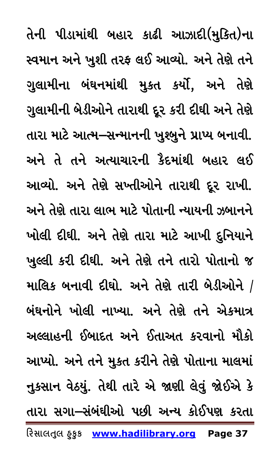**રિસાલતલુ હુકુક www.hadilibrary.org Page 37** તેની પીડામાંથી બહાર કાઢી આઝાદી(મુકિત)ના સ્વમાન અને ખુશી તરફ લઈ આવ્યો. અને તેણે તને ગુલામીના બંઘનમાંથી મુકત કર્યો, અને તેણે ગુલામીની બેડીઓને તારાથી દૂર કરી દીઘી અને તેણે તારા માટે આત્મ–સન્માનની ખુશ્બુને પ્રાપ્ય બનાવી. અને તે તને અત્યાચારની કૈદમાંથી બહાર લઈ આવ્યો. અને તેણે સખ્તીઓને તારાથી દૂર રાખી. અને તેણે તારા લાભ માટે પોતાની ન્યાયની ઝબાનને ખોલી દીઘી. અને તેણે તારા માટે આખી દુનિયાને ખુલ્લી કરી દીધી. અને તેણે તને તારો પોતાનો જ માલિક બનાવી દીઘો. અને તેણે તારી બેડીઓને  $/$ બંઘનોને ખોલી નાખ્યા. અને તેણે તને એકમાત્ર અલ્લાહની ઈબાદત અને ઈતાઅત કરવાનો મૌકો આપ્યો. અને તને મુકત કરીને તેણે પોતાના માલમાં નુકસાન વેઠયું. તેથી તારે એ જાણી લેવું જોઈએ કે તારા સગા–સંબંઘીઓ પછી અન્ય કોઈપણ કરતા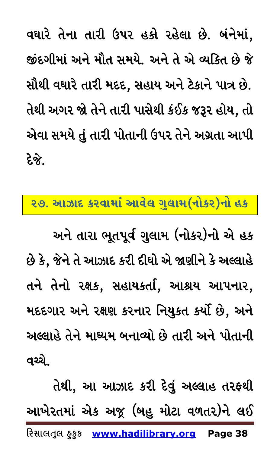વઘારે તેના તારી ઉપર હકો રહેલા છે. બંનેમાં, જીંદગીમાં અને મૌત સમયે. અને તે એ વ્યકિત છે જે સૌથી વઘારે તારી મદદ, સહાય અને ટેકાને પાત્ર છે. તેથી અગર જો તેને તારી પાસેથી કંઈક જરૂર હોય, તો એવા સમયે તું તારી પોતાની ઉપર તેને અગ્રતા આપી દેજે

#### <span id="page-37-0"></span>૨૭. આઝાદ કરવામાં આવેલ ગુલામ(નોકર)નો હક

અને તારા ભૂતપૂર્વ ગુલામ (નોકર)નો એ હક છે કે, જેને તે આઝાદ કરી દીઘો એ જાણીને કે અલ્લાહે તને તેનો રક્ષક, સહાયકર્તા, આશ્રય આપનાર, મદદગાર અને રક્ષણ કરનાર નિયુકત કર્યો છે, અને અલ્લાહે તેને માઘ્યમ બનાવ્યો છે તારી અને પોતાની વચ્ચે.

તેથી, આ આઝાદ કરી દેવું અલ્લાહ તરફથી આખેરતમાં એક અજૂ (બહુ મોટા વળતર)ને લઈ રિસાલતુલ ફક્રક www.hadilibrary.org Page 38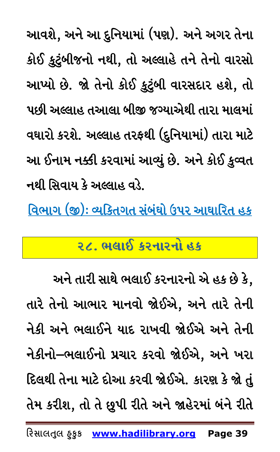આવશે, અને આ દુનિયામાં (પણ). અને અગર તેના કોઈ કુટુંબીજનો નથી, તો અલ્લાહે તને તેનો વારસો આપ્યો છે. જો તેનો કોઈ કુટુંબી વારસદાર હશે, તો પછી અલ્લાહ તઆલા બીજી જગ્યાએથી તારા માલમાં વઘારો કરશે. અલ્લાહ તરફથી (દુનિયામાં) તારા માટે આ ઈનામ નક્કી કરવામાં આવ્યું છે. અને કોઈ કુવ્વત નથી સિવાય કે અલ્લાહ વડે.

<span id="page-38-0"></span><u> વિભાગ (જી): વ્યક્તિગત સંબંઘો ઉપર આઘારિત હક</u>

## ૨૮. ભલાઈ કરનારનો હક

અને તારી સાથે ભલાઈ કરનારનો એ હક છે કે, તારે તેનો આભાર માનવો જોઈએ, અને તારે તેની નેકી અને ભલાઈને યાદ રાખવી જોઈએ અને તેની નેકીનો–ભલાઈનો પ્રચાર કરવો જોઈએ, અને ખરા દિલથી તેના માટે દોઆ કરવી જોઈએ. કારણ કે જો તું તેમ કરીશ, તો તે છૂપી રીતે અને જાહેરમાં બંને રીતે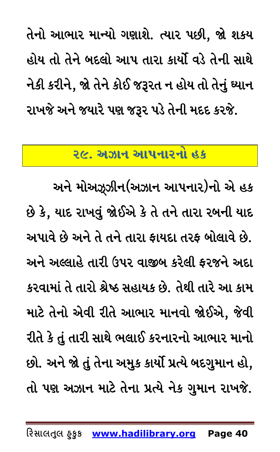તેનો આભાર માન્યો ગણાશે. ત્યાર પછી, જો શકય હોય તો તેને બદલો આપ તારા કાર્યો વડે તેની સાથે નેકી કરીને, જો તેને કોઈ જરૂરત ન હોય તો તેનું ઘ્યાન રાખજે અને જયારે પણ જરૂર પડે તેની મદદ કરજે.

#### ૨૯. અઝાન આપનારનો હક

<span id="page-39-0"></span>અને મોઅઝૂઝીન(અઝાન આપનાર)નો એ હક છે કે, યાદ રાખવું જોઈએ કે તે તને તારા રબની યાદ અપાવે છે અને તે તને તારા ફાયદા તરફ બોલાવે છે. અને અલ્લાહે તારી ઉપર વાજીબ કરેલી ફરજને અદા કરવામાં તે તારો શ્રેષ્ઠ સહાયક છે. તેથી તારે આ કામ માટે તેનો એવી રીતે આભાર માનવો જોઈએ, જેવી રીતે કે તું તારી સાથે ભલાઈ કરનારનો આભાર માનો છો. અને જો તું તેના અમુક કાર્યો પ્રત્યે બદગુમાન હો, તો પણ અઝાન માટે તેના પ્રત્યે નેક ગુમાન રાખજે.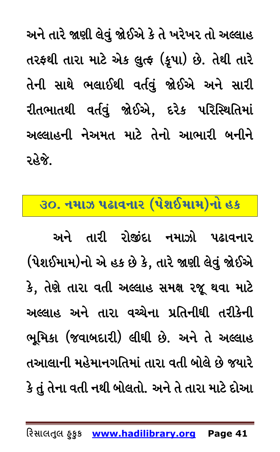અને તારે જાણી લેવું જોઈએ કે તે ખરેખર તો અલ્લાહ તરફથી તારા માટે એક લુત્ફ (કૃપા) છે. તેથી તારે તેની સાથે ભલાઈથી વર્તવું જોઈએ અને સારી રીતભાતથી વર્તવું જોઈએ, દરેક પરિસ્થિતિમાં અલ્લાહની નેઅમત માટે તેનો આભારી બનીને રહેજે.

#### <span id="page-40-0"></span> $\overline{30}$ . નમાઝ પઢાવનાર (પેશઈમામ)નો હક

અને તારી રોજીંદા નમાઝો પઢાવનાર (પેશઈમામ)નો એ હક છે કે, તારે જાણી લેવું જોઈએ કે, તેણે તારા વતી અલ્લાહ સમક્ષ રજૂ થવા માટે અલ્લાહ અને તારા વચ્ચેના પ્રતિનીઘી તરીકેની ભુમિકા (જવાબદારી) લીઘી છે. અને તે અલ્લાહ તઆલાની મહેમાનગતિમાં તારા વતી બોલે છે જયારે કે તું તેના વતી નથી બોલતો. અને તે તારા માટે દોઆ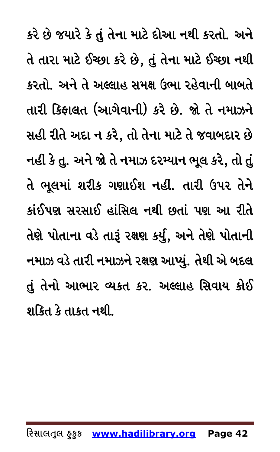કરે છે જયારે કે તું તેના માટે દોઆ નથી કરતો. અને તે તારા માટે ઈચ્છા કરે છે, તું તેના માટે ઈચ્છા નથી કરતો. અને તે અલ્લાહ સમક્ષ ઉભા રહેવાની બાબતે તારી કિફાલત (આગેવાની) કરે છે. જો તે નમાઝને સહી રીતે અદા ન કરે, તો તેના માટે તે જવાબદાર છે નહી કે તુ. અને જો તે નમાઝ દરમ્યાન ભૂલ કરે, તો તું તે ભૂલમાં શરીક ગણાઈશ નહીં. તારી ઉપર તેને કાંઈપણ સરસાઈ હાંસિલ નથી છતાં પણ આ રીતે તેણે પોતાના વડે તારૂં રક્ષણ કર્યું, અને તેણે પોતાની નમાઝ વડે તારી નમાઝને રક્ષણ આપ્યું. તેથી એ બદલ તું તેનો આભાર વ્યકત કર. અલ્લાહ સિવાય કોઈ શક્તિ કે તાકત નથી.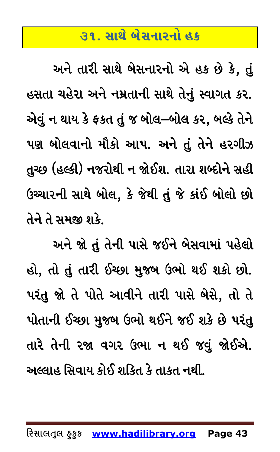## ૩૧. સાથે બેસનારનો હક

<span id="page-42-0"></span>અને તારી સાથે બેસનારનો એ હક છે કે, તું હસતા ચહેરા અને નમ્રતાની સાથે તેનું સ્વાગત કર. એવું ન થાય કે ફકત તું જ બોલ–બોલ કર, બલ્કે તેને પણ બોલવાનો મૌકો આપ. અને તું તેને હરગીઝ તુચ્છ (હલ્કી) નજરોથી ન જોઈશ. તારા શબ્દોને સહી ઉચ્ચારની સાથે બોલ, કે જેથી તું જે કાંઈ બોલો છો તેને તે સમજી શકે.

અને જો તું તેની પાસે જઈને બેસવામાં પહેલો હો, તો તું તારી ઈચ્છા મુજબ ઉભો થઈ શકો છો. પરંતુ જો તે પોતે આવીને તારી પાસે બેસે, તો તે પોતાની ઈચ્છા મુજબ ઉભો થઈને જઈ શકે છે પરંતુ તારે તેની રજા વગર ઉભા ન થઈ જવું જોઈએ. અલ્લાહ સિવાય કોઈ શકિત કે તાકત નથી.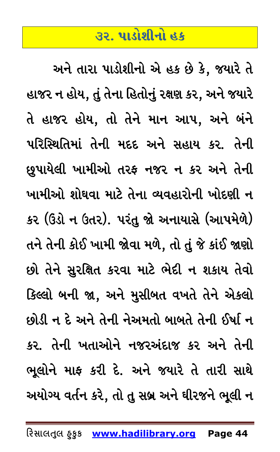## **#ZP 5F0MXLGM CS**

<span id="page-43-0"></span>અને તારા પાડોશીનો એ હક છે કે, જયારે તે હાજર ન હોય, તું તેના હિતોનું રક્ષણ કર, અને જયારે તે હાજર હોય, તો તેને માન આપ, અને બંને પરિસ્થિતિમાં તેની મદદ અને સહાય કર. તેની છુપાયેલી ખામીઓ તરફ નજર ન કર અને તેની ખામીઓ શોઘવા માટે તેના વ્યવહારોની ખોદણી ન કર (ઉંડો ન ઉતર). પરંતુ જો અનાયાસે (આપમેળે) તને તેની કોઈ ખામી જોવા મળે, તો તું જે કાંઈ જાણો છો તેને સુરક્ષિત કરવા માટે ભેદી ન શકાય તેવો કિલ્લો બની જા, અને મુસીબત વખતે તેને એકલો છોડી ન દે અને તેની નેઅમતો બાબતે તેની ઈર્ષા ન કર. તેની ખતાઓને નજરઅંદાજ કર અને તેની ભૂલોને માફ કરી દે. અને જયારે તે તારી સાથે અયોગ્ય વર્તન કરે, તો તુ સબ્ર અને ઘીરજને ભૂલી ન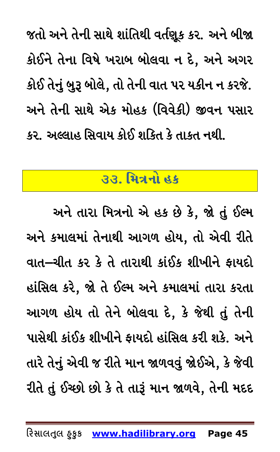જતો અને તેની સાથે શાંતિથી વર્તણૂક કર. અને બીજા કોઈને તેના વિષે ખરાબ બોલવા ન દે, અને અગર કોઈ તેનું બુરૂ બોલે, તો તેની વાત પર યકીન ન કરજે. અને તેની સાથે એક મોહક (વિવેકી) જીવન પસાર કર. અલ્લાહ સિવાય કોઈ શકિત કે તાકત નથી.

#### <u> ૩૩. મિત્રનો હક</u>

<span id="page-44-0"></span>અને તારા મિત્રનો એ હક છે કે, જો તું ઈલ્મ અને કમાલમાં તેનાથી આગળ હોય, તો એવી રીતે વાત–ચીત કર કે તે તારાથી કાંઈક શીખીને ફાયદો હાંસિલ કરે, જો તે ઈલ્મ અને કમાલમાં તારા કરતા આગળ હોય તો તેને બોલવા દે, કે જેથી તું તેની પાસેથી કાંઈક શીખીને ફાયદો હાંસિલ કરી શકે. અને તારે તેનું એવી જ રીતે માન જાળવવું જોઈએ, કે જેવી રીતે તું ઈચ્છો છો કે તે તારૂં માન જાળવે, તેની મદદ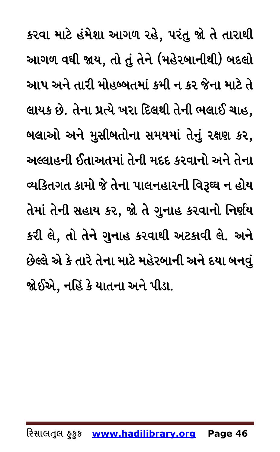કરવા માટે હંમેશા આગળ રહે, પરંતુ જો તે તારાથી આગળ વઘી જાય, તો તું તેને (મહેરબાનીથી) બદલો આપ અને તારી મોહબ્બતમાં કમી ન કર જેના માટે તે લાયક છે. તેના પ્રત્યે ખરા દિલથી તેની ભલાઈ ચાહ, બલાઓ અને મુસીબતોના સમયમાં તેનું રક્ષણ કર, અલ્લાહની ઈતાઅતમાં તેની મદદ કરવાનો અને તેના વ્યકિતગત કામો જે તેના પાલનહારની વિરૂઘ્ઘ ન હોય તેમાં તેની સહાય કર, જો તે ગુનાહ કરવાનો નિર્ણય કરી લે, તો તેને ગુનાહ કરવાથી અટકાવી લે. અને છેલ્લે એ કે તારે તેના માટે મહેરબાની અને દયા બનવું જોઈએ, નહિં કે યાતના અને પીડા.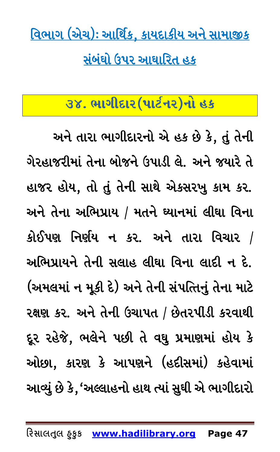<u>વિભાગ (એચ): આર્થિક, કાયદાકીય અને સામાજીક</u> <u>સંબંઘો ઉપર આઘારિત હક</u>

## <span id="page-46-0"></span><u>3૪. ભાગીદાર(પાર્ટનર)નો હક</u>

અને તારા ભાગીદારનો એ હક છે કે, તું તેની ગેરહાજરીમાં તેના બોજને ઉપાડી લે. અને જયારે તે હાજર હોય, તો તું તેની સાથે એકસરખુ કામ કર. અને તેના અભિપ્રાય / મતને ઘ્યાનમાં લીઘા વિના કોઈપણ નિર્ણય ન કર. અને તારા વિચાર / અભિપ્રાયને તેની સલાહ લીઘા વિના લાદી ન દે. (અમલમાં ન મૂકી દે) અને તેની સંપત્તિનું તેના માટે રક્ષણ કર. અને તેની ઉચાપત / છેતરપીડી કરવાથી દૂર રહેજે, ભલેને પછી તે વઘુ પ્રમાણમાં હોય કે ઓછા, કારણ કે આપણને (હદીસમાં) કહેવામાં આવ્યું છે કે,'અલ્લાહનો હાથ ત્યાં સુઘી એ ભાગીદારો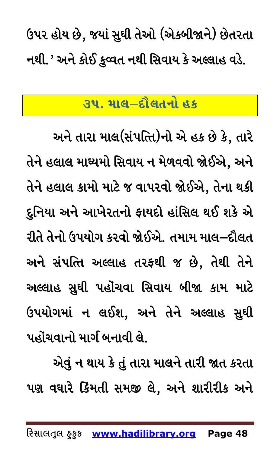<span id="page-47-0"></span>ઉપર હોય છે, જયાં સુઘી તેઓ (એકબીજાને) છેતરતા નથી.' અને કોઈ કુવ્વત નથી સિવાય કે અલ્લાહ વડે.

## ૩૫. માલ–દૌલતનો હક

અને તારા માલ(સંપત્તિ)નો એ હક છે કે, તારે તેને હલાલ માઘ્યમો સિવાય ન મેળવવો જોઈએ, અને તેને હલાલ કામો માટે જ વાપરવો જોઈએ, તેના થકી દુનિયા અને આખેરતનો ફાયદો હાંસિલ થઈ શકે એ રીતે તેનો ઉપયોગ કરવો જોઈએ. તમામ માલ–દૌલત અને સંપત્તિ અલ્લાહ તરફથી જ છે, તેથી તેને અલ્લાહ સુઘી પહોંચવા સિવાય બીજા કામ માટે ઉપયોગમાં ન લઈશ, અને તેને અલ્લાહ સુઘી પહોંચવાનો માર્ગ બનાવી લે.

એવું ન થાય કે તું તારા માલને તારી જાત કરતા પણ વઘારે કિંમતી સમજી લે, અને શારીરીક અને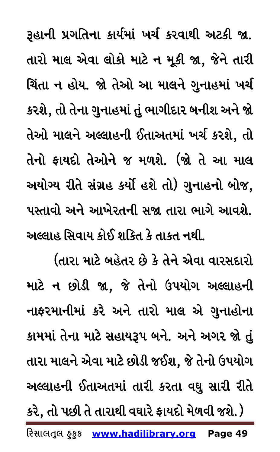રૂહાની પ્રગતિના કાર્યમાં ખર્ચ કરવાથી અટકી જા. તારો માલ એવા લોકો માટે ન મૂકી જા, જેને તારી ચિંતા ન હોય. જો તેઓ આ માલને ગુનાહમાં ખર્ચ કરશે, તો તેના ગુનાહમાં તું ભાગીદાર બનીશ અને જો તેઓ માલને અલ્લાહની ઈતાઅતમાં ખર્ચ કરશે, તો તેનો ફાયદો તેઓને જ મળશે. (જો તે આ માલ અયોગ્ય રીતે સંગ્રહ કર્યો હશે તો) ગુનાહનો બોજ, પસ્તાવો અને આખેરતની સજા તારા ભાગે આવશે. અલ્લાહ સિવાય કોઈ શકિત કે તાકત નથી.

(તારા માટે બહેતર છે કે તેને એવા વારસદારો માટે ન છોડી જા, જે તેનો ઉપયોગ અલ્લાહની નાફરમાનીમાં કરે અને તારો માલ એ ગુનાહોના કામમાં તેના માટે સહાયરૂપ બને. અને અગર જો તું તારા માલને એવા માટે છોડી જઈશ, જે તેનો ઉપયોગ અલ્લાહની ઈતાઅતમાં તારી કરતા વધુ સારી રીતે

કરે, તો પછી તે તારાથી વઘારે ફાયદો મેળવી જશે.)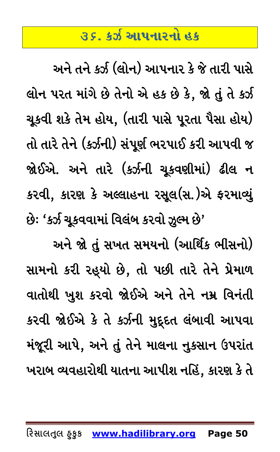## **35. કર્ઝ આપનારનો હક**

<span id="page-49-0"></span>અને તને કર્ઝ (લોન) આપનાર કે જે તારી પાસે લોન પરત માંગે છે તેનો એ હક છે કે, જો તું તે કર્ઝ ચૂકવી શકે તેમ હોય, (તારી પાસે પૂરતા પૈસા હોય) તો તારે તેને (કર્ઝની) સંપૂર્ણ ભરપાઈ કરી આપવી જ જોઈએ. અને તારે (કર્ઝની ચૂકવણીમાં) ઢીલ ન કરવી, કારણ કે અલ્લાહના રસૂલ(સ.)એ ફરમાવ્યું છે: 'કર્ઝ ચૂકવવામાં વિલંબ કરવો ઝૂલ્મ છે'

અને જો તું સખત સમયનો (આર્થિક ભીસનો) સામનો કરી રહ્યો છે, તો પછી તારે તેને પ્રેમાળ વાતોથી ખુશ કરવો જોઈએ અને તેને નમ્ર વિનંતી કરવી જોઈએ કે તે કર્ઝની મુદ્દદત લંબાવી આપવા મંજૂરી આપે, અને તું તેને માલના નુકસાન ઉપરાંત ખરાબ વ્યવહારોથી યાતના આપીશ નહિં, કારણ કે તે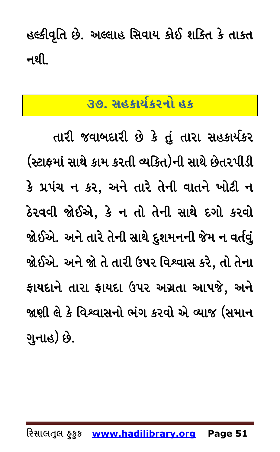<span id="page-50-0"></span>હલ્કીવૃતિ છે. અલ્લાહ સિવાય કોઈ શકિત કે તાકત નથી.

## ૩૭. સહકાર્યકરનો હક

તારી જવાબદારી છે કે તું તારા સહકાર્યકર (સ્ટાફમાં સાથે કામ કરતી વ્યકિત)ની સાથે છેતરપીડી કે પ્રપંચ ન કર, અને તારે તેની વાતને ખોટી ન ઠેરવવી જોઈએ, કે ન તો તેની સાથે દગો કરવો જોઈએ. અને તારે તેની સાથે દુશમનની જેમ ન વર્તવું જોઈએ. અને જો તે તારી ઉપર વિશ્વાસ કરે, તો તેના ફાયદાને તારા ફાયદા ઉપર અગ્રતા આપજે, અને જાણી લે કે વિશ્વાસનો ભંગ કરવો એ વ્યાજ (સમાન ગુનાહ) છે.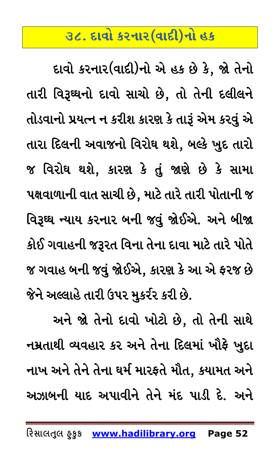## <u>૩૮. દાવો કરનાર(વાદી)નો હક</u>

<span id="page-51-0"></span>દાવો કરનાર(વાદી)નો એ હક છે કે, જો તેનો તારી વિરૂઘ્ધનો દાવો સાચો છે, તો તેની દલીલને તોડવાનો પ્રયત્ન ન કરીશ કારણ કે તારૂં એમ કરવું એ તારા દિલની અવાજનો વિરોઘ થશે, બલ્કે ખુદ તારો જ વિરોઘ થશે, કારણ કે તું જાણે છે કે સામા પક્ષવાળાની વાત સાચી છે, માટે તારે તારી પોતાની જ વિરૂઘ્ઘ ન્યાય કરનાર બની જવું જોઈએ. અને બીજા કોઈ ગવાહની જરૂરત વિના તેના દાવા માટે તારે પોતે જ ગવાહ બની જવું જોઈએ, કારણ કે આ એ ફરજ છે જેને અલ્લાહે તારી ઉપર મુકર્રર કરી છે.

અને જો તેનો દાવો ખોટો છે, તો તેની સાથે નમ્રતાથી વ્યવહાર કર અને તેના દિલમાં ખૌ<del>ફે</del> ખુદા નાખ અને તેને તેના ઘર્મ મારફતે મૌત, કયામત અને અઝાબની યાદ અપાવીને તેને મંદ પાડી દે. અને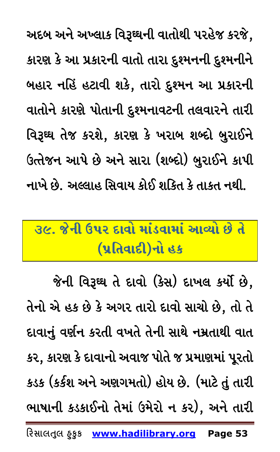અદબ અને અખ્લાક વિરૂઘ્ધની વાતોથી પરહેજ કરજે, કારણ કે આ પ્રકારની વાતો તારા દુશ્મનની દુશ્મનીને બહાર નહિં હટાવી શકે, તારો દુશ્મન આ પ્રકારની વાતોને કારણે પોતાની દુશ્મનાવટની તલવારને તારી વિરૂઘ્ઘ તેજ કરશે, કારણ કે ખરાબ શબ્દો બુરાઈને ઉત્તેજન આપે છે અને સારા (શબ્દો) બુરાઈને કાપી નાખે છે. અલ્લાહ સિવાય કોઈ શકિત કે તાકત નથી.

# <span id="page-52-0"></span> $\overline{3}$  &  $\overline{6}$   $\overline{2}$   $\overline{2}$   $\overline{4}$   $\overline{4}$   $\overline{2}$   $\overline{2}$   $\overline{2}$   $\overline{4}$   $\overline{2}$   $\overline{2}$   $\overline{2}$   $\overline{2}$   $\overline{2}$   $\overline{2}$   $\overline{2}$   $\overline{2}$   $\overline{2}$   $\overline{2}$   $\overline{2}$   $\overline{2}$   $\overline{2}$   $\overline{2}$   $\over$ **(પ્રતિવાદી)નો હક**

જેની વિરૂઘ્ઘ તે દાવો (કેસ) દાખલ કર્યો છે, તેનો એ હક છે કે અગર તારો દાવો સાચો છે, તો તે દાવાનું વર્ણન કરતી વખતે તેની સાથે નમ્રતાથી વાત કર, કારણ કે દાવાનો અવાજ પોતે જ પ્રમાણમાં પૂરતો કડક (કર્કશ અને અણગમતો) હોય છે. (માટે તું તારી ભાષાની કડકાઈનો તેમાં ઉમેરો ન કર), અને તારી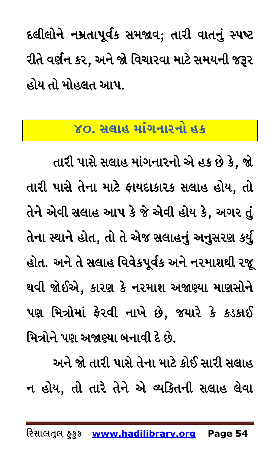દલીલોને નમ્રતાપૂર્વક સમજાવ; તારી વાતનું સ્પષ્ટ રીતે વર્ણન કર, અને જો વિચારવા માટે સમયની જરૂર હોય તો મોહલત આપ.

### ૪૦. સલાહ માંગનારનો હક

<span id="page-53-0"></span>તારી પાસે સલાહ માંગનારનો એ હક છે કે, જો તારી પાસે તેના માટે ફાયદાકારક સલાહ હોય, તો તેને એવી સલાહ આપ કે જે એવી હોય કે, અગર તું તેના સ્થાને હોત, તો તે એજ સલાહનું અનુસરણ કર્યુ હોત. અને તે સલાહ વિવેકપૂર્વક અને નરમાશથી રજૂ થવી જોઈએ, કારણ કે નરમાશ અજાણ્યા માણસોને પણ મિત્રોમાં ફેરવી નાખે છે, જયારે કે કડકાઈ મિત્રોને પણ અજાણ્યા બનાવી દે છે.

અને જો તારી પાસે તેના માટે કોઈ સારી સલાહ ન હોય, તો તારે તેને એ વ્યકિતની સલાહ લેવા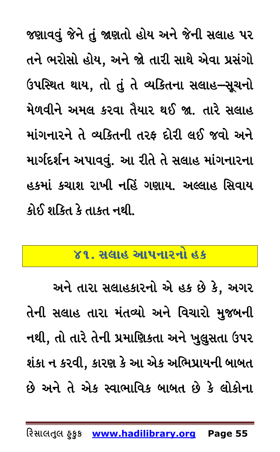જણાવવું જેને તું જાણતો હોય અને જેની સલાહ પર તને ભરોસો હોય, અને જો તારી સાથે એવા પ્રસંગો ઉપસ્થિત થાય, તો તું તે વ્યકિતના સલાહ–સૂચનો મેળવીને અમલ કરવા તૈયાર થઈ જા. તારે સલાહ માંગનારને તે વ્યકિતની તરફ દોરી લઈ જવો અને માર્ગદર્શન અપાવવું. આ રીતે તે સલાહ માંગનારના હકમાં કચાશ રાખી નહિં ગણાય. અલ્લાહ સિવાય કોઈ શક્તિ કે તાકત નથી.

#### <span id="page-54-0"></span><u>૪૧. સલાહ આપનારનો હક</u>

અને તારા સલાહકારનો એ હક છે કે, અગર તેની સલાહ તારા મંતવ્યો અને વિચારો મુજબની નથી, તો તારે તેની પ્રમાણિકતા અને ખુલુસતા ઉપર શંકા ન કરવી, કારણ કે આ એક અભિપ્રાયની બાબત છે અને તે એક સ્વાભાવિક બાબત છે કે લોકોના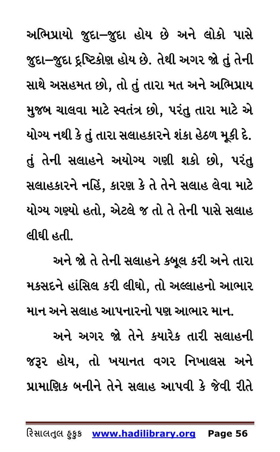અભિપ્રાયો જુદા–જુદા હોય છે અને લોકો પાસે જુદા–જુદા દ્રષ્ટિકોણ હોય છે. તેથી અગર જો તું તેની સાથે અસહમત છો, તો તું તારા મત અને અભિપ્રાય મુજબ ચાલવા માટે સ્વતંત્ર છો, પરંતુ તારા માટે એ યોગ્ય નથી કે તું તારા સલાહકારને શંકા હેઠળ મૂકી દે. તું તેની સલાહને અયોગ્ય ગણી શકો છો, પરંતુ સલાહકારને નહિં, કારણ કે તે તેને સલાહ લેવા માટે યોગ્ય ગણ્યો હતો, એટલે જ તો તે તેની પાસે સલાહ લીધી હતી.

અને જો તે તેની સલાહને કબૂલ કરી અને તારા મકસદને હાંસિલ કરી લીઘો, તો અલ્લાહનો આભાર

માન અને સલાહ આપનારનો પણ આભાર માન. અને અગર જો તેને કયારેક તારી સલાહની જરૂર હોય, તો ખયાનત વગર નિખાલસ અને પ્રામાણિક બનીને તેને સલાહ આપવી કે જેવી રીતે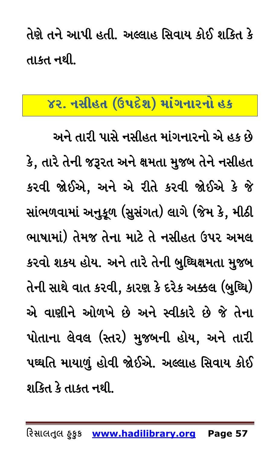તેણે તને આપી હતી. અલ્લાહ સિવાય કોઈ શકિત કે તા.કત નથી.

## <span id="page-56-0"></span> $78.$  નસીહત (ઉપદેશ) માંગનારનો હક

અને તારી પાસે નસીહત માંગનારનો એ હક છે કે, તારે તેની જરૂરત અને ક્ષમતા મુજબ તેને નસીહત કરવી જોઈએ, અને એ રીતે કરવી જોઈએ કે જે સાંભળવામાં અનુકૂળ (સુસંગત) લાગે (જેમ કે, મીઠી ભાષામાં) તેમજ તેના માટે તે નસીહત ઉપર અમલ કરવો શકય હોય. અને તારે તેની બુઘ્ધિક્ષમતા મુજબ તેની સાથે વાત કરવી, કારણ કે દરેક અક્કલ (બુઘ્ઘિ) એ વાણીને ઓળખે છે અને સ્વીકારે છે જે તેના પોતાના લેવલ (સ્તર) મુજબની હોય, અને તારી પઘ્ઘતિ માયાળું હોવી જોઈએ. અલ્લાહ સિવાય કોઈ શકિત કે તાકત નથી.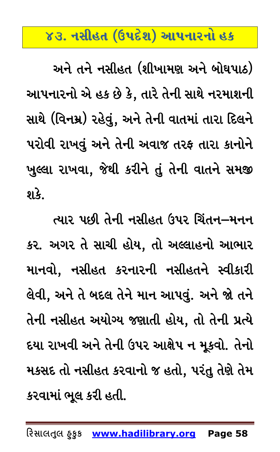## <u>૪૩. નસીહત (ઉપદેશ) આપનારનો હક</u>

<span id="page-57-0"></span>અને તને નસીહત (શીખામણ અને બોઘપાઠ) આપનારનો એ હક છે કે, તારે તેની સાથે નરમાશની સાથે (વિનમ્ર) રહેવું, અને તેની વાતમાં તારા દિલને પરોવી રાખવું અને તેની અવાજ તરફ તારા કાનોને ખુલ્લા રાખવા, જેથી કરીને તું તેની વાતને સમજી  $9\overline{\smash{\cdot}}\hspace{-1.5pt}.\hspace{-1.5pt}$ 

ત્યાર પછી તેની નસીહત ઉપર ચિંતન–મનન કર. અગર તે સાચી હોય, તો અલ્લાહનો આભાર માનવો, નસીહત કરનારની નસીહતને સ્વીકારી લેવી, અને તે બદલ તેને માન આપવું. અને જો તને તેની નસીહત અયોગ્ય જણાતી હોય, તો તેની પ્રત્યે દયા રાખવી અને તેની ઉપર આક્ષેપ ન મૂકવો. તેનો મકસદ તો નસીહત કરવાનો જ હતો, પરંતુ તેણે તેમ કરવામાં ભૂલ કરી હતી.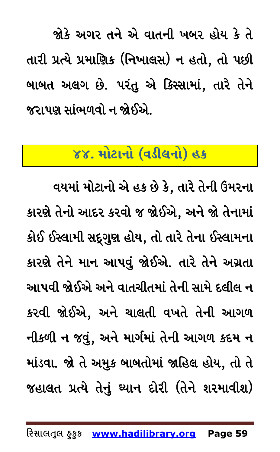જોકે અગર તને એ વાતની ખબર હોય કે તે તારી પ્રત્યે પ્રમાણિક (નિખાલસ) ન હતો, તો પછી બાબત અલગ છે. પરંતુ એ કિસ્સામાં, તારે તેને જરાપણ સાંભળવો ન જોઈએ.

## <span id="page-58-0"></span>૪૪. મોટાનો (વડીલનો) હક

વયમાં મોટાનો એ હક છે કે, તારે તેની ઉંમરના કારણે તેનો આદર કરવો જ જોઈએ, અને જો તેનામાં કોઈ ઈસ્લામી સદ્દગુણ હોય, તો તારે તેના ઈસ્લામના કારણે તેને માન આપવું જોઈએ. તારે તેને અગ્રતા આપવી જોઈએ અને વાતચીતમાં તેની સામે દલીલ ન કરવી જોઈએ, અને ચાલતી વખતે તેની આગળ નીકળી ન જવું, અને માર્ગમાં તેની આગળ કદમ ન માંડવા. જો તે અમુક બાબતોમાં જાહિલ હોય, તો તે જહાલત પ્રત્યે તેનું ઘ્યાન દોરી (તેને શરમાવીશ)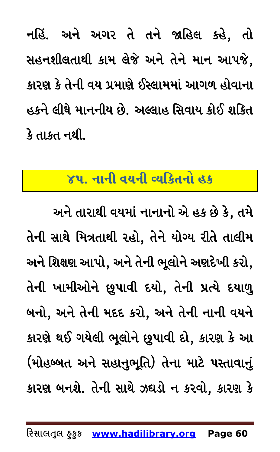નહિં. અને અગર તે તને જાહિલ કહે, તો સહનશીલતાથી કામ લેજે અને તેને માન આપજે, કારણ કે તેની વય પ્રમાણે ઈસ્લામમાં આગળ હોવાના હકને લીઘે માનનીય છે. અલ્લાહ સિવાય કોઈ શકિત કે તાકત નથી.

#### <span id="page-59-0"></span>૪૫. નાની વયની વ્યકિતનો હક

અને તારાથી વયમાં નાનાનો એ હક છે કે, તમે તેની સાથે મિત્રતાથી રહો, તેને યોગ્ય રીતે તાલીમ અને શિક્ષણ આપો, અને તેની ભૂલોને અણદેખી કરો, તેની ખામીઓને છૂપાવી દયો, તેની પ્રત્યે દયાળુ બનો, અને તેની મદદ કરો, અને તેની નાની વયને કારણે થઈ ગયેલી ભૂલોને છુપાવી દો, કારણ કે આ (મોહબ્બત અને સહાનુભૂતિ) તેના માટે પસ્તાવાનું કારણ બનશે. તેની સાથે ઝઘડો ન કરવો, કારણ કે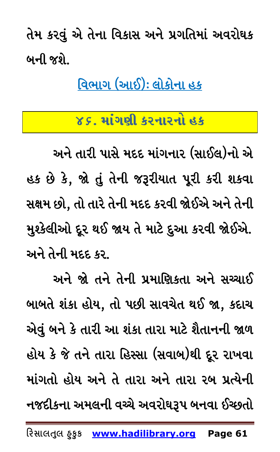તેમ કરવું એ તેના વિકાસ અને પ્રગતિમાં અવરોઘક બની જશે.

<u>વિભાગ (આઈ): લોકોના હક</u>

## ૪૬. માંગણી કરનારનો હક

<span id="page-60-0"></span>અને તારી પાસે મદદ માંગનાર (સાઈલ)નો એ હક છે કે, જો તું તેની જરૂરીયાત પૂરી કરી શકવા સક્ષમ છો, તો તારે તેની મદદ કરવી જોઈએ અને તેની મુશ્કેલીઓ દૂર થઈ જાય તે માટે દુઆ કરવી જોઈએ. અને તેની મદદ કર.

અને જો તને તેની પ્રમાણિકતા અને સચ્ચાઈ બાબતે શંકા હોય, તો પછી સાવચેત થઈ જા, કદાચ એવું બને કે તારી આ શંકા તારા માટે શૈતાનની જાળ હોય કે જે તને તારા હિસ્સા (સવાબ)થી દૂર રાખવા માંગતો હોય અને તે તારા અને તારા રબ પ્રત્યેની નજદીકના અમલની વચ્ચે અવરોઘરૂપ બનવા ઈચ્છતો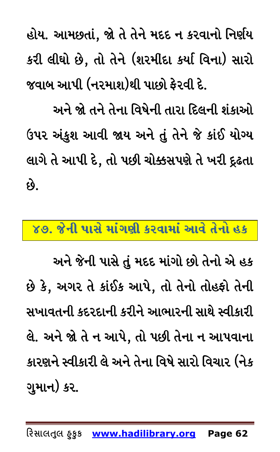હોય. આમછતાં, જો તે તેને મદદ ન કરવાનો નિર્ણય કરી લીઘો છે, તો તેને (શરમીદા કર્યા વિના) સારો જવાબ આપી (નરમાશ)થી પાછો ફેરવી દે.

અને જો તને તેના વિષેની તારા દિલની શંકાઓ ઉપર અંકુશ આવી જાય અને તું તેને જે કાંઈ યોગ્ય લાગે તે આપી દે, તો પછી ચોક્કસપણે તે ખરી દ્રઢતા  $\mathfrak{G}$ .

#### <span id="page-61-0"></span>૪૭. જેની પાસે માંગણી કરવામાં આવે તેનો હક

અને જેની પાસે તું મદદ માંગો છો તેનો એ હક છે કે, અગર તે કાંઈક આપે, તો તેનો તોહફો તેની સખાવતની કદરદાની કરીને આભારની સાથે સ્વીકારી લે. અને જો તે ન આપે, તો પછી તેના ન આપવાના કારણને સ્વીકારી લે અને તેના વિષે સારો વિચાર (નેક ગુમાન) કર.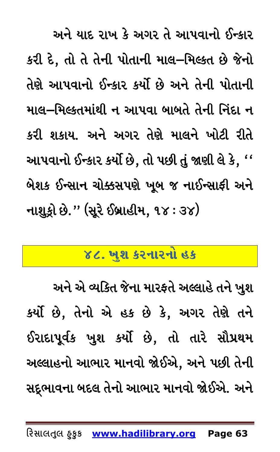અને યાદ રાખ કે અગર તે આપવાનો ઈન્કાર કરી દે, તો તે તેની પોતાની માલ–મિલ્કત છે જેનો તેણે આપવાનો ઈન્કાર કર્યો છે અને તેની પોતાની માલ–મિલ્કતમાંથી ન આપવા બાબતે તેની નિંદા ન કરી શકાય. અને અગર તેણે માલને ખોટી રીતે આપવાનો ઈન્કાર કર્યો છે, તો પછી તું જાણી લે કે, '' બેશક ઈન્સાન ચોક્કસપણે ખૂબ જ નાઈન્સાફી અને નાશુક્રો છે." (સૂરે ઈબ્રાહીમ, ૧૪: ૩૪)

## ૪૮. ખુશ કરનારનો હક

<span id="page-62-0"></span>અને એ વ્યકિત જેના મારફતે અલ્લાહે તને ખુશ કર્યો છે, તેનો એ હક છે કે, અગર તેણે તને ઈરાદાપૂર્વક ખુશ કર્યો છે, તો તારે સૌપ્રથમ અલ્લાહનો આભાર માનવો જોઈએ, અને પછી તેની સદ્દભાવના બદલ તેનો આભાર માનવો જોઈએ. અને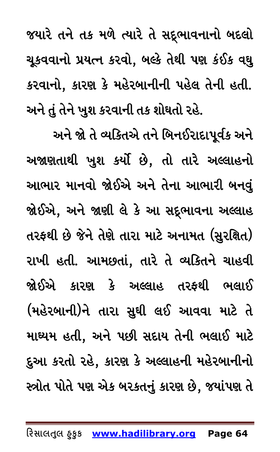જયારે તને તક મળે ત્યારે તે સદ્દભાવનાનો બદલો ચૂકવવાનો પ્રયત્ન કરવો, બલ્કે તેથી પણ કંઈક વઘુ કરવાનો, કારણ કે મહેરબાનીની પહેલ તેની હતી. અને તું તેને ખુશ કરવાની તક શોઘતો રહે.

અને જો તે વ્યકિતએ તને બિનઈરાદાપૂર્વક અને અજાણતાથી ખુશ કર્યો છે, તો તારે અલ્લાહનો આભાર માનવો જોઈએ અને તેના આભારી બનવું જોઈએ, અને જાણી લે કે આ સદ્ભાવના અલ્લાહ તરફથી છે જેને તેણે તારા માટે અનામત (સુરક્ષિત) રાખી હતી. આમછતાં, તારે તે વ્યકિતને ચાહવી જોઈએ કારણ કે અલ્લાહ તરફથી ભલાઈ (મહેરબાની)ને તારા સુઘી લઈ આવવા માટે તે માઘ્યમ હતી, અને પછી સદાય તેની ભલાઈ માટે દુઆ કરતો રહે, કારણ કે અલ્લાહની મહેરબાનીનો સ્ત્રોત પોતે પણ એક બરકતનું કારણ છે, જયાંપણ તે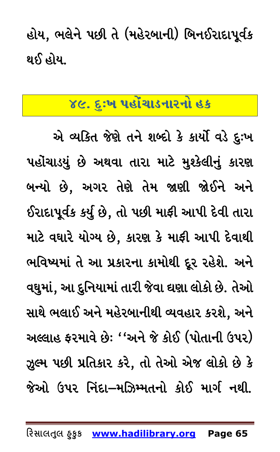હોય, ભલેને પછી તે (મહેરબાની) બિનઈરાદાપૂર્વક થઈ હોય.

## <span id="page-64-0"></span>૪૯. દુઃખ પહોંચાડનારનો હક

એ વ્યકિત જેણે તને શબ્દો કે કાર્યો વડે દુઃખ પહોંચાડયું છે અથવા તારા માટે મુશ્કેલીનું કારણ બન્યો છે, અગર તેણે તેમ જાણી જોઈને અને ઈરાદાપૂર્વક કર્યુ છે, તો પછી માફી આપી દેવી તારા માટે વઘારે યોગ્ય છે, કારણ કે માફી આપી દેવાથી ભવિષ્યમાં તે આ પ્રકારના કામોથી દૂર રહેશે. અને વઘુમાં, આ દુનિયામાં તારી જેવા ઘણા લોકો છે. તેઓ સાથે ભલાઈ અને મહેરબાનીથી વ્યવહાર કરશે, અને અલ્લાહ ફરમાવે છેઃ ''અને જે કોઈ (પોતાની ઉપર) ઝુલ્મ પછી પ્રતિકાર કરે, તો તેઓ એજ લોકો છે કે જેઓ ઉપર નિંદા–મઝિમ્મતનો કોઈ માર્ગ નથી.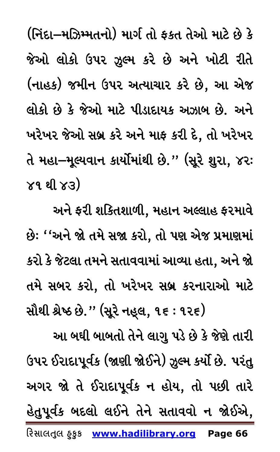(નિંદા–મઝિમ્મતનો) માર્ગ તો ફકત તેઓ માટે છે કે જેઓ લોકો ઉપર ઝૂલ્મ કરે છે અને ખોટી રીતે (નાહક) જમીન ઉપર અત્યાચાર કરે છે, આ એજ લોકો છે કે જેઓ માટે પીડાદાયક અઝાબ છે. અને ખરેખર જેઓ સબ્ર કરે અને માફ કરી દે, તો ખરેખર તે મહા–મૂલ્યવાન કાર્યોમાંથી છે." (સૂરે શુરા, ૪૨:  $\times$ ૧ થી  $\times$ ૩)

અને ફરી શકિતશાળી, મહાન અલ્લાહ ફરમાવે છે: ''અને જો તમે સજા કરો, તો પણ એજ પ્રમાણમાં કરો કે જેટલા તમને સતાવવામાં આવ્યા હતા, અને જો તમે સબર કરો, તો ખરેખર સબ્ર કરનારાઓ માટે સૌથી શ્રેષ્ઠ છે.'' (સૂરે નહુલ, ૧૬ : ૧૨૬)

આ બઘી બાબતો તેને લાગુ પડે છે કે જેણે તારી ઉપર ઈરાદાપૂર્વક (જાણી જોઈને) ઝૂલ્મ કર્યો છે. પરંતુ અગર જો તે ઈરાદાપૂર્વક ન હોય, તો પછી તારે હેતુપૂર્વક બદલો લઈને તેને સતાવવો ન જોઈએ, રિસાલતુલ હુકુક www.hadilibrary.org Page 66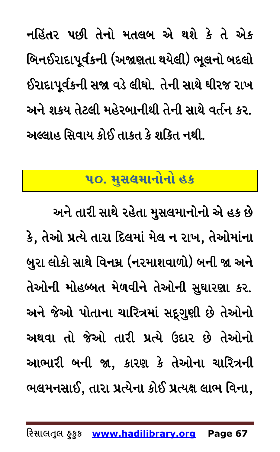નહિંતર પછી તેનો મતલબ એ થશે કે તે એક બિનઈરાદાપૂર્વકની (અજાણતા થયેલી) ભૂલનો બદલો ઈરાદાપૂર્વકની સજા વડે લીઘો. તેની સાથે ઘીરજ રાખ અને શકય તેટલી મહેરબાનીથી તેની સાથે વર્તન કર. અલ્લાહ સિવાય કોઈ તાકત કે શકિત નથી.

## ૫૦. મુસલમાનોનો હક

<span id="page-66-0"></span>અને તારી સાથે રહેતા મુસલમાનોનો એ હક છે કે, તેઓ પ્રત્યે તારા દિલમાં મેલ ન રાખ, તેઓમાંના બુરા લોકો સાથે વિનમ્ર (નરમાશવાળો) બની જા અને તેઓની મોહબ્બત મેળવીને તેઓની સુઘારણા કર. અને જેઓ પોતાના ચારિત્રમાં સદ્દગુણી છે તેઓનો અથવા તો જેઓ તારી પ્રત્યે ઉદાર છે તેઓનો આભારી બની જા, કારણ કે તેઓના ચારિત્રની ભલમનસાઈ, તારા પ્રત્યેના કોઈ પ્રત્યક્ષ લાભ વિના,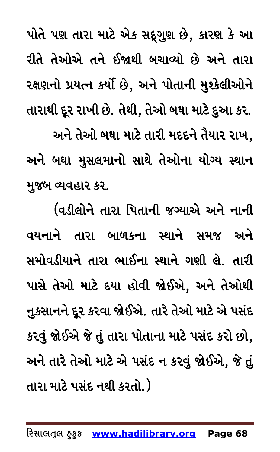પોતે પણ તારા માટે એક સદ્દગુણ છે, કારણ કે આ રીતે તેઓએ તને ઈજાથી બચાવ્યો છે અને તારા રક્ષણનો પ્રયત્ન કર્યો છે, અને પોતાની મુશ્કેલીઓને તારાથી દૂર રાખી છે. તેથી, તેઓ બઘા માટે દુઆ કર. અને તેઓ બઘા માટે તારી મદદને તૈયાર રાખ, અને બઘા મુસલમાનો સાથે તેઓના યોગ્ય સ્થાન મુજબ વ્યવહાર કર.

(વડીલોને તારા પિતાની જગ્યાએ અને નાની વયનાને તારા બાળકના સ્થાને સમજ અને સમોવડીયાને તારા ભાઈના સ્થાને ગણી લે. તારી પાસે તેઓ માટે દયા હોવી જોઈએ, અને તેઓથી નુકસાનને દૂર કરવા જોઈએ. તારે તેઓ માટે એ પસંદ કરવું જોઈએ જે તું તારા પોતાના માટે પસંદ કરો છો, અને તારે તેઓ માટે એ પસંદ ન કરવું જોઈએ, જે તું તારા માટે પસંદ નથી કરતો. )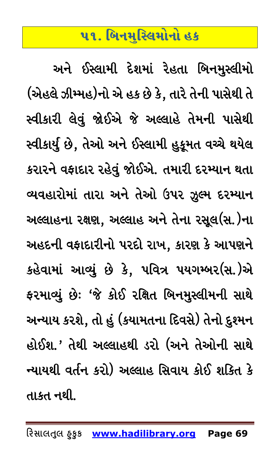## ૫૧. બિનમુસ્લિમોનો હક

<span id="page-68-0"></span>અને ઈસ્લામી દેશમાં રેહતા બિનમુસ્લીમો (એહલે ઝીમ્મહ)નો એ હક છે કે, તારે તેની પાસેથી તે સ્વીકારી લેવું જોઈએ જે અલ્લાહે તેમની પાસેથી સ્વીકાર્યું છે, તેઓ અને ઈસ્લામી હુકૂમત વચ્ચે થયેલ કરારને વફાદાર રહેવું જોઈએ. તમારી દરમ્યાન થતા વ્યવહારોમાં તારા અને તેઓ ઉપર ઝૂલ્મ દરમ્યાન અલ્લાહના રક્ષણ, અલ્લાહ અને તેના રસૂલ(સ.)ના અહદની વફાદારીનો પરદો રાખ, કારણ કે આપણને કહેવામાં આવ્યું છે કે, પવિત્ર પયગમ્બર(સ.)એ ફરમાવ્યું છેઃ 'જે કોઈ રક્ષિત બિનમુસ્લીમની સાથે અન્યાય કરશે, તો હું (કયામતના દિવસે) તેનો દુશ્મન હોઈશ.' તેથી અલ્લાહથી ડરો (અને તેઓની સાથે ન્યાયથી વર્તન કરો) અલ્લાહ સિવાય કોઈ શકિત કે તાકત નથી.